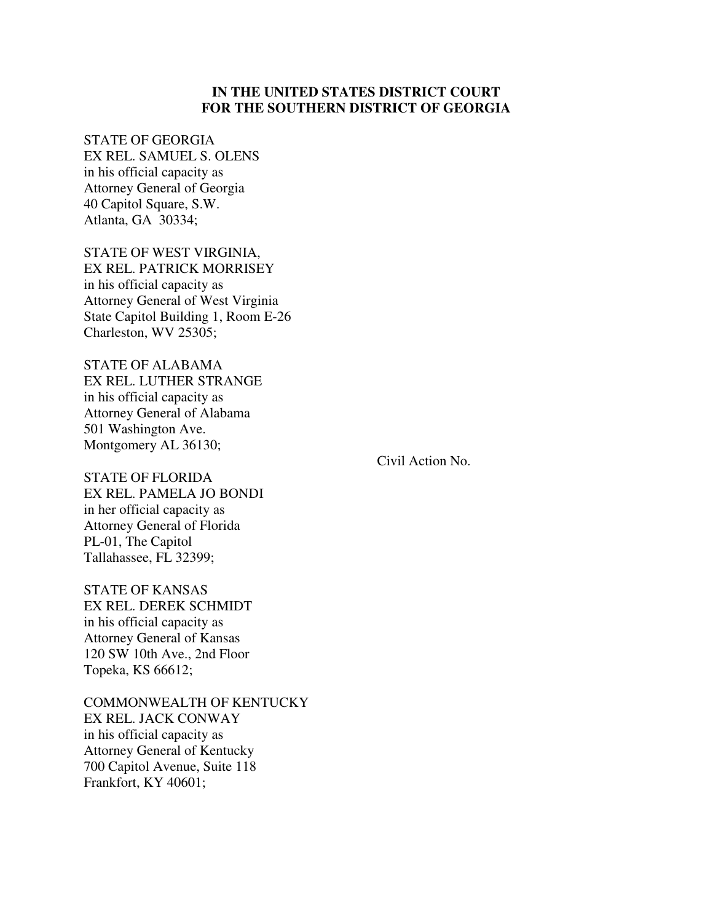# **IN THE UNITED STATES DISTRICT COURT FOR THE SOUTHERN DISTRICT OF GEORGIA**

#### STATE OF GEORGIA

EX REL. SAMUEL S. OLENS in his official capacity as Attorney General of Georgia 40 Capitol Square, S.W. Atlanta, GA 30334;

STATE OF WEST VIRGINIA, EX REL. PATRICK MORRISEY in his official capacity as Attorney General of West Virginia State Capitol Building 1, Room E-26 Charleston, WV 25305;

STATE OF ALABAMA EX REL. LUTHER STRANGE in his official capacity as Attorney General of Alabama 501 Washington Ave. Montgomery AL 36130;

Civil Action No.

STATE OF FLORIDA EX REL. PAMELA JO BONDI in her official capacity as Attorney General of Florida PL-01, The Capitol Tallahassee, FL 32399;

STATE OF KANSAS EX REL. DEREK SCHMIDT in his official capacity as Attorney General of Kansas 120 SW 10th Ave., 2nd Floor Topeka, KS 66612;

COMMONWEALTH OF KENTUCKY EX REL. JACK CONWAY in his official capacity as Attorney General of Kentucky 700 Capitol Avenue, Suite 118 Frankfort, KY 40601;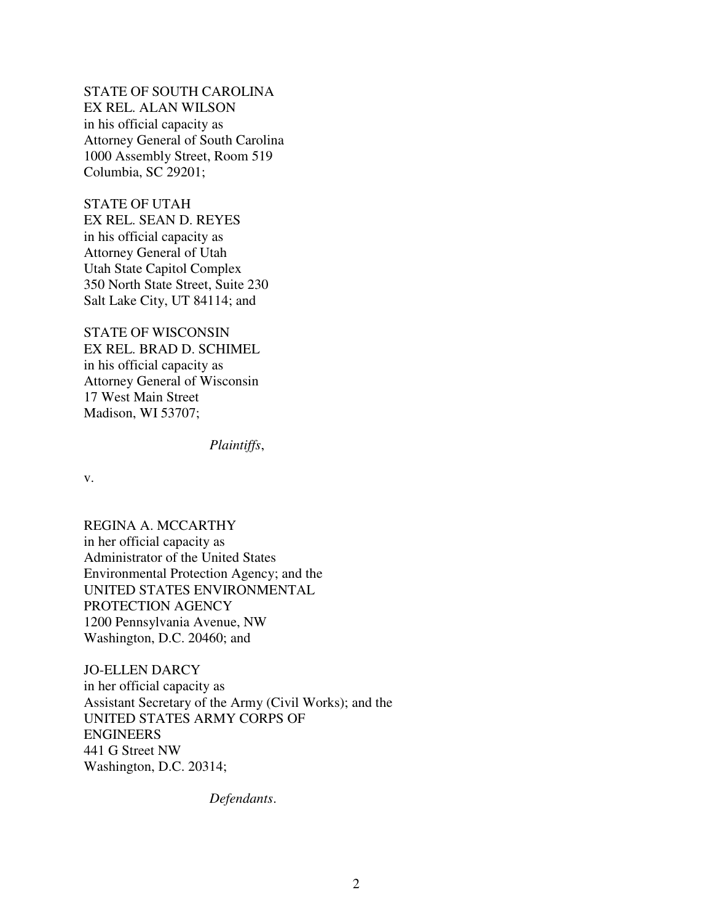STATE OF SOUTH CAROLINA EX REL. ALAN WILSON in his official capacity as Attorney General of South Carolina 1000 Assembly Street, Room 519 Columbia, SC 29201;

STATE OF UTAH EX REL. SEAN D. REYES in his official capacity as Attorney General of Utah Utah State Capitol Complex 350 North State Street, Suite 230 Salt Lake City, UT 84114; and

STATE OF WISCONSIN EX REL. BRAD D. SCHIMEL in his official capacity as Attorney General of Wisconsin 17 West Main Street Madison, WI 53707;

*Plaintiffs*,

v.

REGINA A. MCCARTHY in her official capacity as Administrator of the United States Environmental Protection Agency; and the UNITED STATES ENVIRONMENTAL PROTECTION AGENCY 1200 Pennsylvania Avenue, NW Washington, D.C. 20460; and

JO-ELLEN DARCY in her official capacity as Assistant Secretary of the Army (Civil Works); and the UNITED STATES ARMY CORPS OF ENGINEERS 441 G Street NW Washington, D.C. 20314;

*Defendants*.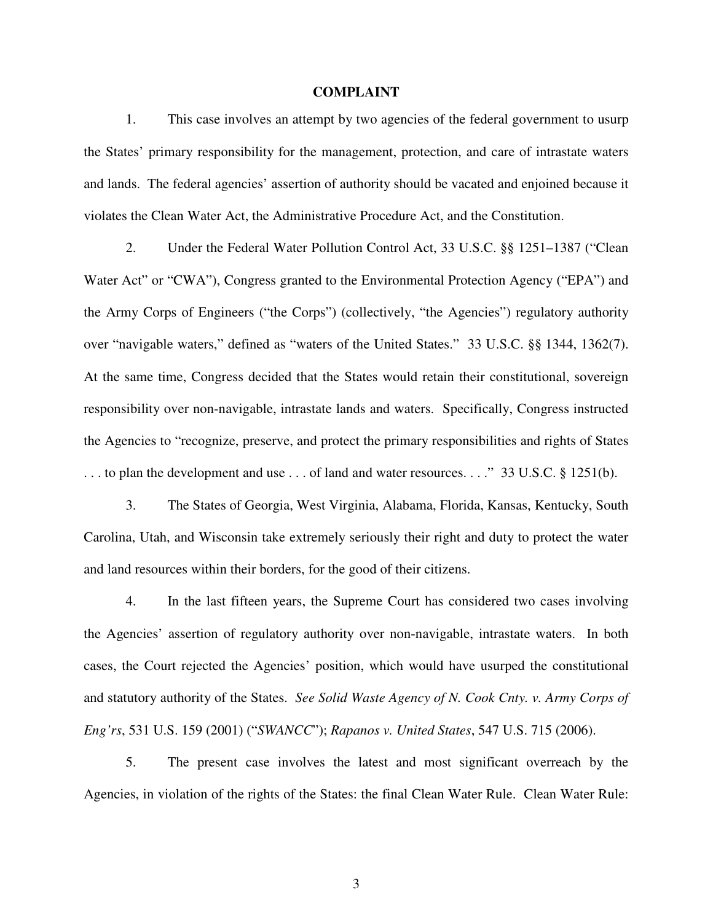#### **COMPLAINT**

1. This case involves an attempt by two agencies of the federal government to usurp the States' primary responsibility for the management, protection, and care of intrastate waters and lands. The federal agencies' assertion of authority should be vacated and enjoined because it violates the Clean Water Act, the Administrative Procedure Act, and the Constitution.

2. Under the Federal Water Pollution Control Act, 33 U.S.C. §§ 1251–1387 ("Clean Water Act" or "CWA"), Congress granted to the Environmental Protection Agency ("EPA") and the Army Corps of Engineers ("the Corps") (collectively, "the Agencies") regulatory authority over "navigable waters," defined as "waters of the United States." 33 U.S.C. §§ 1344, 1362(7). At the same time, Congress decided that the States would retain their constitutional, sovereign responsibility over non-navigable, intrastate lands and waters. Specifically, Congress instructed the Agencies to "recognize, preserve, and protect the primary responsibilities and rights of States ... to plan the development and use ... of land and water resources...." 33 U.S.C. § 1251(b).

3. The States of Georgia, West Virginia, Alabama, Florida, Kansas, Kentucky, South Carolina, Utah, and Wisconsin take extremely seriously their right and duty to protect the water and land resources within their borders, for the good of their citizens.

4. In the last fifteen years, the Supreme Court has considered two cases involving the Agencies' assertion of regulatory authority over non-navigable, intrastate waters. In both cases, the Court rejected the Agencies' position, which would have usurped the constitutional and statutory authority of the States. *See Solid Waste Agency of N. Cook Cnty. v. Army Corps of Eng'rs*, 531 U.S. 159 (2001) ("*SWANCC*"); *Rapanos v. United States*, 547 U.S. 715 (2006).

5. The present case involves the latest and most significant overreach by the Agencies, in violation of the rights of the States: the final Clean Water Rule. Clean Water Rule: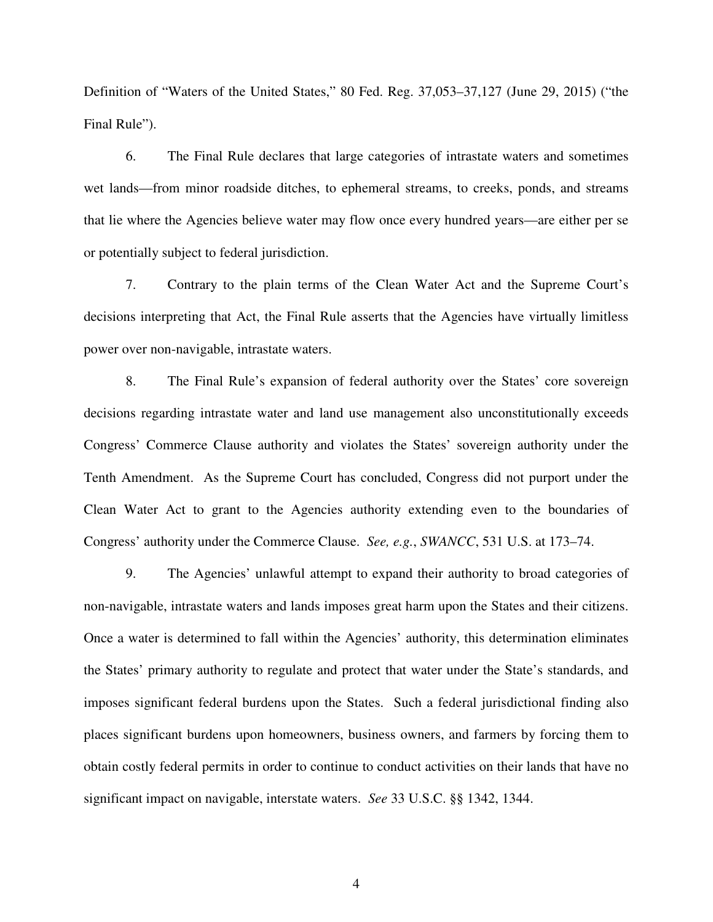Definition of "Waters of the United States," 80 Fed. Reg. 37,053–37,127 (June 29, 2015) ("the Final Rule").

6. The Final Rule declares that large categories of intrastate waters and sometimes wet lands—from minor roadside ditches, to ephemeral streams, to creeks, ponds, and streams that lie where the Agencies believe water may flow once every hundred years—are either per se or potentially subject to federal jurisdiction.

7. Contrary to the plain terms of the Clean Water Act and the Supreme Court's decisions interpreting that Act, the Final Rule asserts that the Agencies have virtually limitless power over non-navigable, intrastate waters.

8. The Final Rule's expansion of federal authority over the States' core sovereign decisions regarding intrastate water and land use management also unconstitutionally exceeds Congress' Commerce Clause authority and violates the States' sovereign authority under the Tenth Amendment. As the Supreme Court has concluded, Congress did not purport under the Clean Water Act to grant to the Agencies authority extending even to the boundaries of Congress' authority under the Commerce Clause. *See, e.g.*, *SWANCC*, 531 U.S. at 173–74.

9. The Agencies' unlawful attempt to expand their authority to broad categories of non-navigable, intrastate waters and lands imposes great harm upon the States and their citizens. Once a water is determined to fall within the Agencies' authority, this determination eliminates the States' primary authority to regulate and protect that water under the State's standards, and imposes significant federal burdens upon the States. Such a federal jurisdictional finding also places significant burdens upon homeowners, business owners, and farmers by forcing them to obtain costly federal permits in order to continue to conduct activities on their lands that have no significant impact on navigable, interstate waters. *See* 33 U.S.C. §§ 1342, 1344.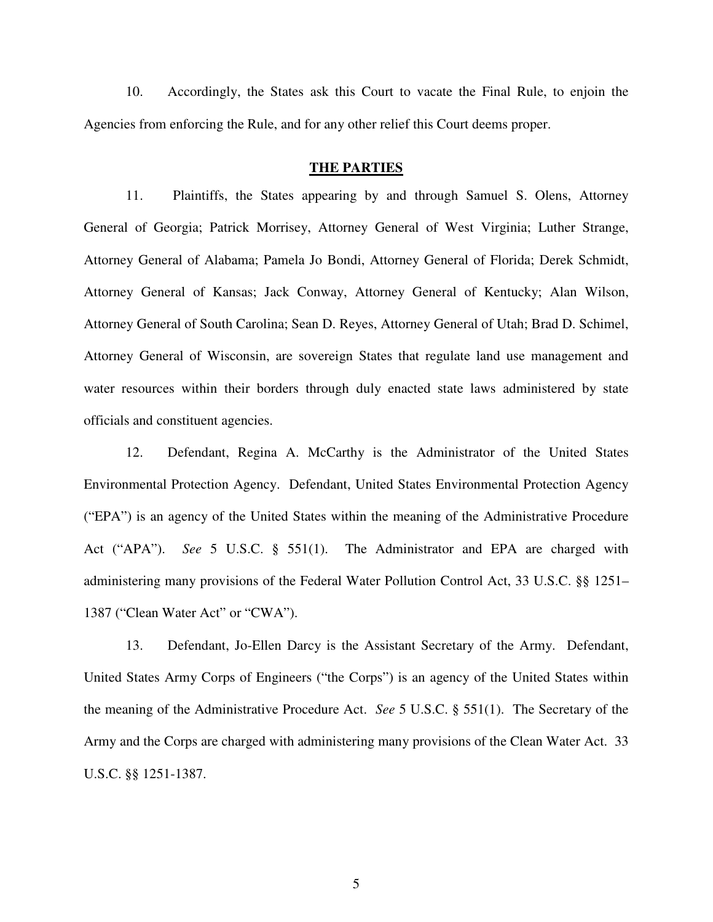10. Accordingly, the States ask this Court to vacate the Final Rule, to enjoin the Agencies from enforcing the Rule, and for any other relief this Court deems proper.

### **THE PARTIES**

11. Plaintiffs, the States appearing by and through Samuel S. Olens, Attorney General of Georgia; Patrick Morrisey, Attorney General of West Virginia; Luther Strange, Attorney General of Alabama; Pamela Jo Bondi, Attorney General of Florida; Derek Schmidt, Attorney General of Kansas; Jack Conway, Attorney General of Kentucky; Alan Wilson, Attorney General of South Carolina; Sean D. Reyes, Attorney General of Utah; Brad D. Schimel, Attorney General of Wisconsin, are sovereign States that regulate land use management and water resources within their borders through duly enacted state laws administered by state officials and constituent agencies.

12. Defendant, Regina A. McCarthy is the Administrator of the United States Environmental Protection Agency. Defendant, United States Environmental Protection Agency ("EPA") is an agency of the United States within the meaning of the Administrative Procedure Act ("APA"). *See* 5 U.S.C. § 551(1). The Administrator and EPA are charged with administering many provisions of the Federal Water Pollution Control Act, 33 U.S.C. §§ 1251– 1387 ("Clean Water Act" or "CWA").

13. Defendant, Jo-Ellen Darcy is the Assistant Secretary of the Army. Defendant, United States Army Corps of Engineers ("the Corps") is an agency of the United States within the meaning of the Administrative Procedure Act. *See* 5 U.S.C. § 551(1). The Secretary of the Army and the Corps are charged with administering many provisions of the Clean Water Act. 33 U.S.C. §§ 1251-1387.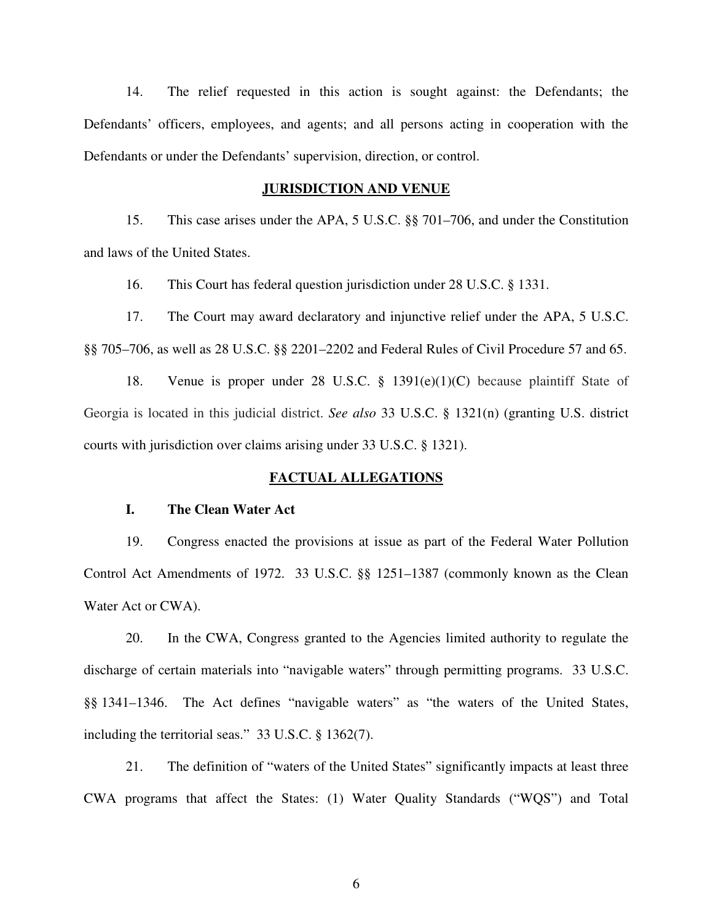14. The relief requested in this action is sought against: the Defendants; the Defendants' officers, employees, and agents; and all persons acting in cooperation with the Defendants or under the Defendants' supervision, direction, or control.

#### **JURISDICTION AND VENUE**

15. This case arises under the APA, 5 U.S.C. §§ 701–706, and under the Constitution and laws of the United States.

16. This Court has federal question jurisdiction under 28 U.S.C. § 1331.

17. The Court may award declaratory and injunctive relief under the APA, 5 U.S.C. §§ 705–706, as well as 28 U.S.C. §§ 2201–2202 and Federal Rules of Civil Procedure 57 and 65.

18. Venue is proper under 28 U.S.C. § 1391(e)(1)(C) because plaintiff State of Georgia is located in this judicial district. *See also* 33 U.S.C. § 1321(n) (granting U.S. district courts with jurisdiction over claims arising under 33 U.S.C. § 1321).

### **FACTUAL ALLEGATIONS**

## **I. The Clean Water Act**

19. Congress enacted the provisions at issue as part of the Federal Water Pollution Control Act Amendments of 1972. 33 U.S.C. §§ 1251–1387 (commonly known as the Clean Water Act or CWA).

20. In the CWA, Congress granted to the Agencies limited authority to regulate the discharge of certain materials into "navigable waters" through permitting programs. 33 U.S.C. §§ 1341–1346. The Act defines "navigable waters" as "the waters of the United States, including the territorial seas." 33 U.S.C. § 1362(7).

21. The definition of "waters of the United States" significantly impacts at least three CWA programs that affect the States: (1) Water Quality Standards ("WQS") and Total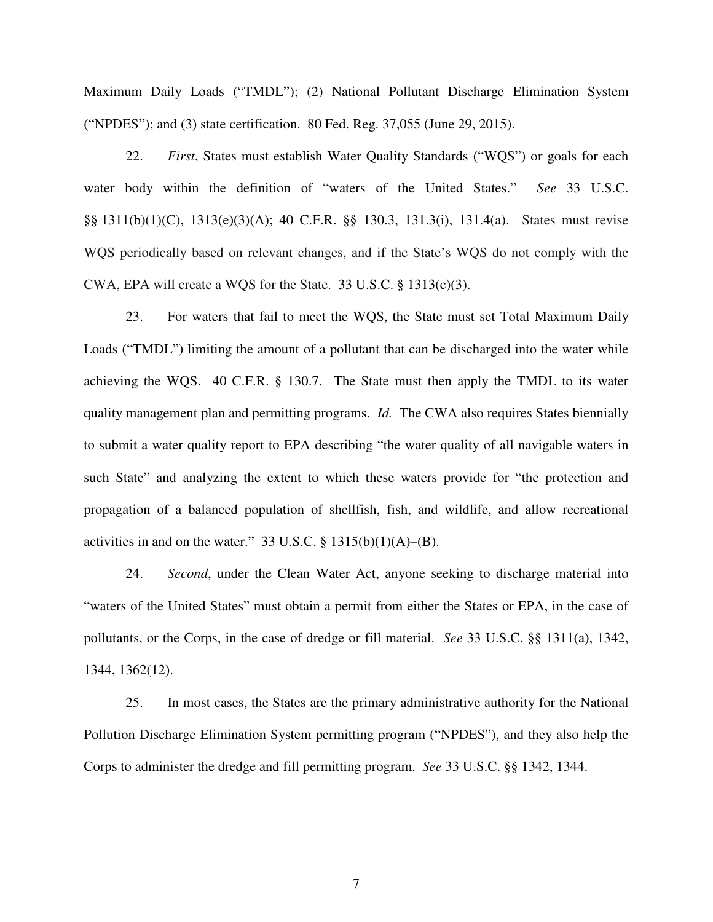Maximum Daily Loads ("TMDL"); (2) National Pollutant Discharge Elimination System ("NPDES"); and (3) state certification. 80 Fed. Reg. 37,055 (June 29, 2015).

22. *First*, States must establish Water Quality Standards ("WQS") or goals for each water body within the definition of "waters of the United States." *See* 33 U.S.C. §§ 1311(b)(1)(C), 1313(e)(3)(A); 40 C.F.R. §§ 130.3, 131.3(i), 131.4(a). States must revise WQS periodically based on relevant changes, and if the State's WQS do not comply with the CWA, EPA will create a WQS for the State. 33 U.S.C. § 1313(c)(3).

23. For waters that fail to meet the WQS, the State must set Total Maximum Daily Loads ("TMDL") limiting the amount of a pollutant that can be discharged into the water while achieving the WQS. 40 C.F.R. § 130.7. The State must then apply the TMDL to its water quality management plan and permitting programs. *Id.* The CWA also requires States biennially to submit a water quality report to EPA describing "the water quality of all navigable waters in such State" and analyzing the extent to which these waters provide for "the protection and propagation of a balanced population of shellfish, fish, and wildlife, and allow recreational activities in and on the water." 33 U.S.C.  $\S$  1315(b)(1)(A)–(B).

24. *Second*, under the Clean Water Act, anyone seeking to discharge material into "waters of the United States" must obtain a permit from either the States or EPA, in the case of pollutants, or the Corps, in the case of dredge or fill material. *See* 33 U.S.C. §§ 1311(a), 1342, 1344, 1362(12).

25. In most cases, the States are the primary administrative authority for the National Pollution Discharge Elimination System permitting program ("NPDES"), and they also help the Corps to administer the dredge and fill permitting program. *See* 33 U.S.C. §§ 1342, 1344.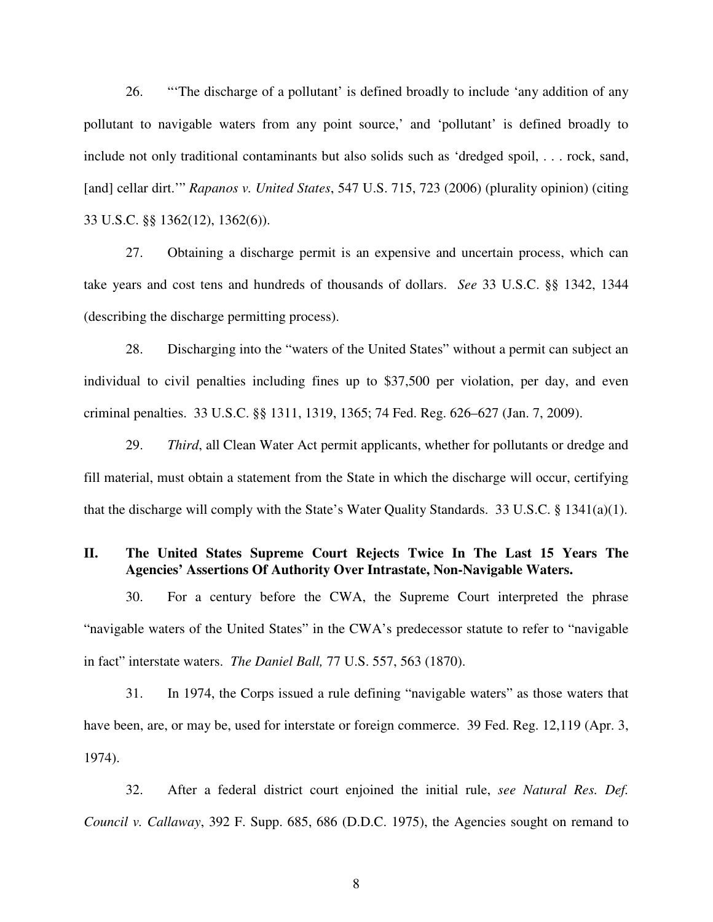26. "'The discharge of a pollutant' is defined broadly to include 'any addition of any pollutant to navigable waters from any point source,' and 'pollutant' is defined broadly to include not only traditional contaminants but also solids such as 'dredged spoil, . . . rock, sand, [and] cellar dirt.'" *Rapanos v. United States*, 547 U.S. 715, 723 (2006) (plurality opinion) (citing 33 U.S.C. §§ 1362(12), 1362(6)).

27. Obtaining a discharge permit is an expensive and uncertain process, which can take years and cost tens and hundreds of thousands of dollars. *See* 33 U.S.C. §§ 1342, 1344 (describing the discharge permitting process).

28. Discharging into the "waters of the United States" without a permit can subject an individual to civil penalties including fines up to \$37,500 per violation, per day, and even criminal penalties. 33 U.S.C. §§ 1311, 1319, 1365; 74 Fed. Reg. 626–627 (Jan. 7, 2009).

29. *Third*, all Clean Water Act permit applicants, whether for pollutants or dredge and fill material, must obtain a statement from the State in which the discharge will occur, certifying that the discharge will comply with the State's Water Quality Standards. 33 U.S.C. § 1341(a)(1).

# **II. The United States Supreme Court Rejects Twice In The Last 15 Years The Agencies' Assertions Of Authority Over Intrastate, Non-Navigable Waters.**

30. For a century before the CWA, the Supreme Court interpreted the phrase "navigable waters of the United States" in the CWA's predecessor statute to refer to "navigable in fact" interstate waters. *The Daniel Ball,* 77 U.S. 557, 563 (1870).

31. In 1974, the Corps issued a rule defining "navigable waters" as those waters that have been, are, or may be, used for interstate or foreign commerce. 39 Fed. Reg. 12,119 (Apr. 3, 1974).

32. After a federal district court enjoined the initial rule, *see Natural Res. Def. Council v. Callaway*, 392 F. Supp. 685, 686 (D.D.C. 1975), the Agencies sought on remand to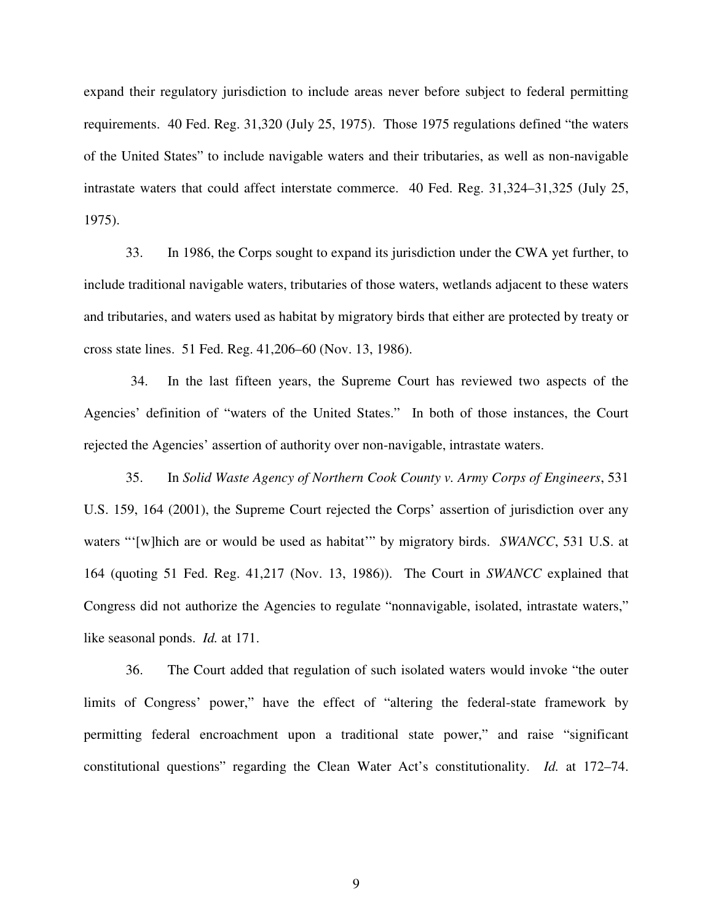expand their regulatory jurisdiction to include areas never before subject to federal permitting requirements. 40 Fed. Reg. 31,320 (July 25, 1975). Those 1975 regulations defined "the waters of the United States" to include navigable waters and their tributaries, as well as non-navigable intrastate waters that could affect interstate commerce. 40 Fed. Reg. 31,324–31,325 (July 25, 1975).

33. In 1986, the Corps sought to expand its jurisdiction under the CWA yet further, to include traditional navigable waters, tributaries of those waters, wetlands adjacent to these waters and tributaries, and waters used as habitat by migratory birds that either are protected by treaty or cross state lines. 51 Fed. Reg. 41,206–60 (Nov. 13, 1986).

34. In the last fifteen years, the Supreme Court has reviewed two aspects of the Agencies' definition of "waters of the United States." In both of those instances, the Court rejected the Agencies' assertion of authority over non-navigable, intrastate waters.

35. In *Solid Waste Agency of Northern Cook County v. Army Corps of Engineers*, 531 U.S. 159, 164 (2001), the Supreme Court rejected the Corps' assertion of jurisdiction over any waters "'[w]hich are or would be used as habitat'" by migratory birds. *SWANCC*, 531 U.S. at 164 (quoting 51 Fed. Reg. 41,217 (Nov. 13, 1986)). The Court in *SWANCC* explained that Congress did not authorize the Agencies to regulate "nonnavigable, isolated, intrastate waters," like seasonal ponds. *Id.* at 171.

36. The Court added that regulation of such isolated waters would invoke "the outer limits of Congress' power," have the effect of "altering the federal-state framework by permitting federal encroachment upon a traditional state power," and raise "significant constitutional questions" regarding the Clean Water Act's constitutionality. *Id.* at 172–74.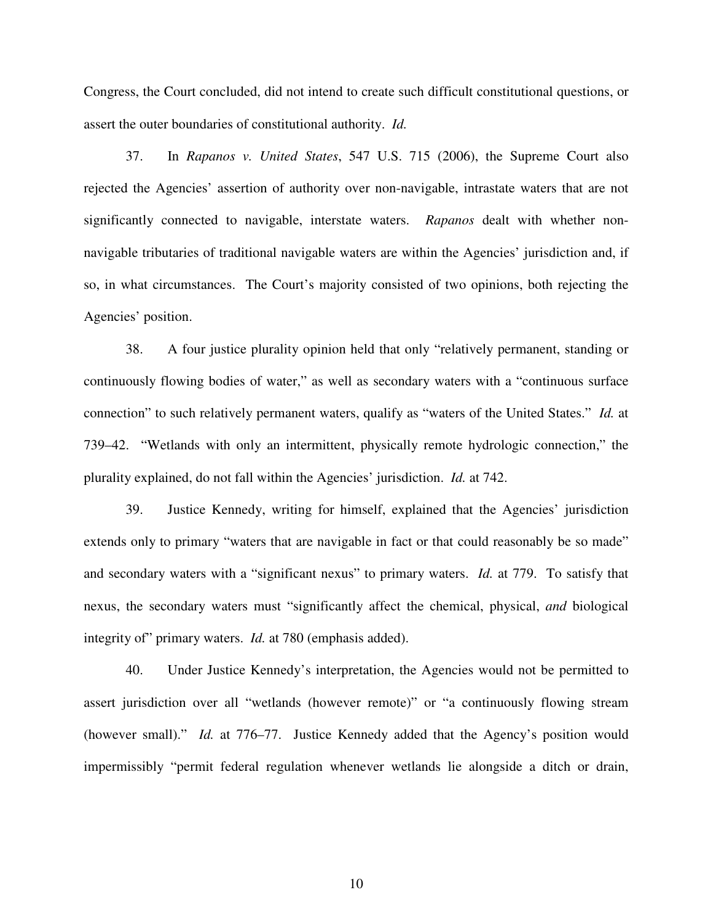Congress, the Court concluded, did not intend to create such difficult constitutional questions, or assert the outer boundaries of constitutional authority. *Id.*

37. In *Rapanos v. United States*, 547 U.S. 715 (2006), the Supreme Court also rejected the Agencies' assertion of authority over non-navigable, intrastate waters that are not significantly connected to navigable, interstate waters. *Rapanos* dealt with whether nonnavigable tributaries of traditional navigable waters are within the Agencies' jurisdiction and, if so, in what circumstances. The Court's majority consisted of two opinions, both rejecting the Agencies' position.

38. A four justice plurality opinion held that only "relatively permanent, standing or continuously flowing bodies of water," as well as secondary waters with a "continuous surface connection" to such relatively permanent waters, qualify as "waters of the United States." *Id.* at 739–42. "Wetlands with only an intermittent, physically remote hydrologic connection," the plurality explained, do not fall within the Agencies' jurisdiction. *Id.* at 742.

39. Justice Kennedy, writing for himself, explained that the Agencies' jurisdiction extends only to primary "waters that are navigable in fact or that could reasonably be so made" and secondary waters with a "significant nexus" to primary waters. *Id.* at 779. To satisfy that nexus, the secondary waters must "significantly affect the chemical, physical, *and* biological integrity of" primary waters. *Id.* at 780 (emphasis added).

40. Under Justice Kennedy's interpretation, the Agencies would not be permitted to assert jurisdiction over all "wetlands (however remote)" or "a continuously flowing stream (however small)." *Id.* at 776–77. Justice Kennedy added that the Agency's position would impermissibly "permit federal regulation whenever wetlands lie alongside a ditch or drain,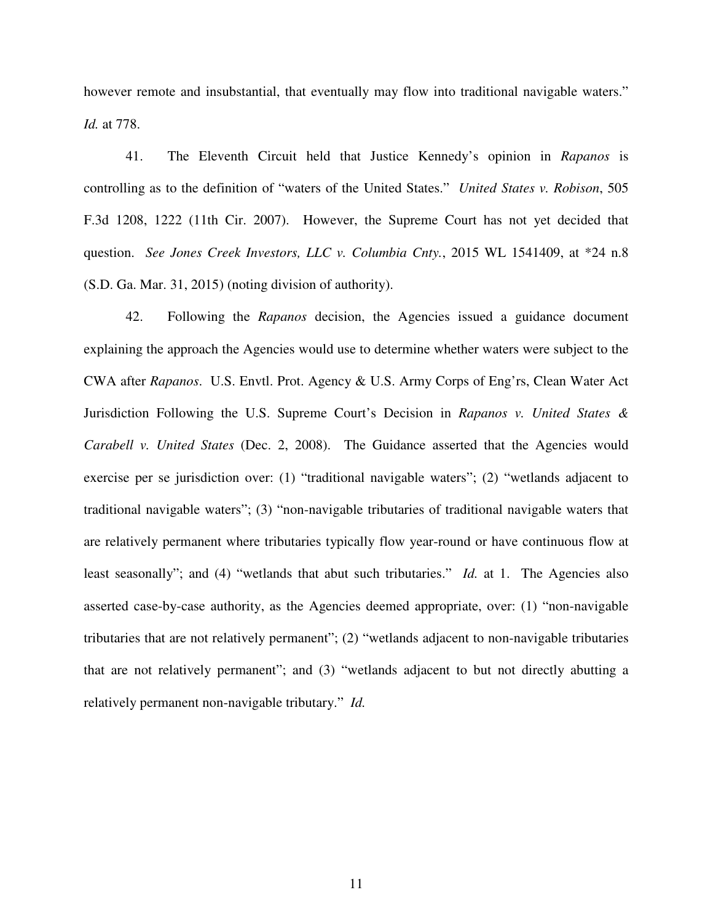however remote and insubstantial, that eventually may flow into traditional navigable waters." *Id.* at 778.

41. The Eleventh Circuit held that Justice Kennedy's opinion in *Rapanos* is controlling as to the definition of "waters of the United States." *United States v. Robison*, 505 F.3d 1208, 1222 (11th Cir. 2007). However, the Supreme Court has not yet decided that question. *See Jones Creek Investors, LLC v. Columbia Cnty.*, 2015 WL 1541409, at \*24 n.8 (S.D. Ga. Mar. 31, 2015) (noting division of authority).

42. Following the *Rapanos* decision, the Agencies issued a guidance document explaining the approach the Agencies would use to determine whether waters were subject to the CWA after *Rapanos*. U.S. Envtl. Prot. Agency & U.S. Army Corps of Eng'rs, Clean Water Act Jurisdiction Following the U.S. Supreme Court's Decision in *Rapanos v. United States & Carabell v. United States* (Dec. 2, 2008). The Guidance asserted that the Agencies would exercise per se jurisdiction over: (1) "traditional navigable waters"; (2) "wetlands adjacent to traditional navigable waters"; (3) "non-navigable tributaries of traditional navigable waters that are relatively permanent where tributaries typically flow year-round or have continuous flow at least seasonally"; and (4) "wetlands that abut such tributaries." *Id.* at 1. The Agencies also asserted case-by-case authority, as the Agencies deemed appropriate, over: (1) "non-navigable tributaries that are not relatively permanent"; (2) "wetlands adjacent to non-navigable tributaries that are not relatively permanent"; and (3) "wetlands adjacent to but not directly abutting a relatively permanent non-navigable tributary." *Id.*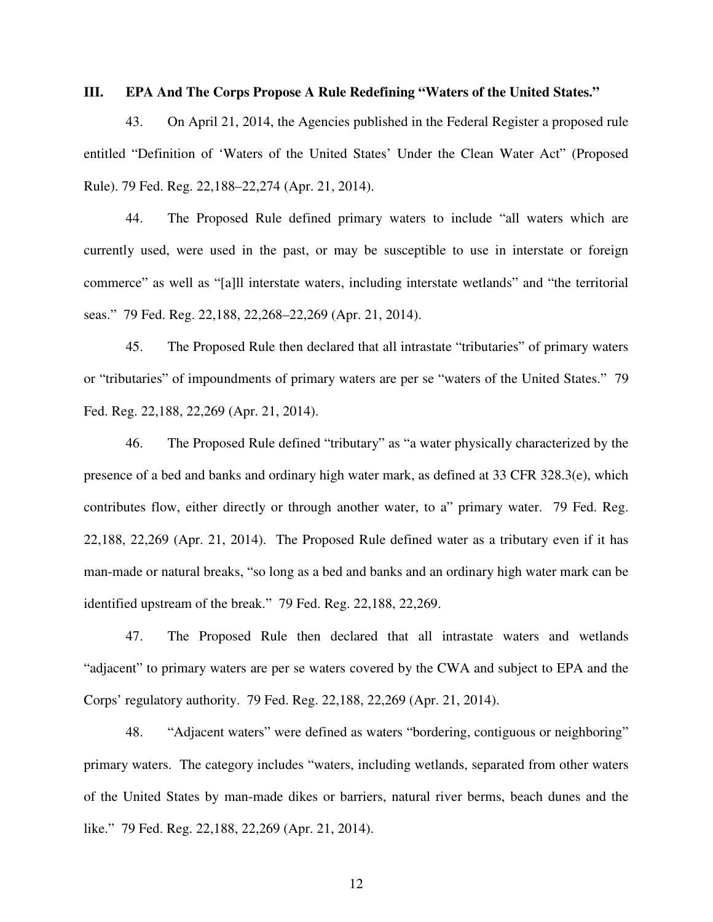## **III. EPA And The Corps Propose A Rule Redefining "Waters of the United States."**

43. On April 21, 2014, the Agencies published in the Federal Register a proposed rule entitled "Definition of 'Waters of the United States' Under the Clean Water Act" (Proposed Rule). 79 Fed. Reg. 22,188–22,274 (Apr. 21, 2014).

44. The Proposed Rule defined primary waters to include "all waters which are currently used, were used in the past, or may be susceptible to use in interstate or foreign commerce" as well as "[a]ll interstate waters, including interstate wetlands" and "the territorial seas." 79 Fed. Reg. 22,188, 22,268–22,269 (Apr. 21, 2014).

45. The Proposed Rule then declared that all intrastate "tributaries" of primary waters or "tributaries" of impoundments of primary waters are per se "waters of the United States." 79 Fed. Reg. 22,188, 22,269 (Apr. 21, 2014).

46. The Proposed Rule defined "tributary" as "a water physically characterized by the presence of a bed and banks and ordinary high water mark, as defined at 33 CFR 328.3(e), which contributes flow, either directly or through another water, to a" primary water. 79 Fed. Reg. 22,188, 22,269 (Apr. 21, 2014). The Proposed Rule defined water as a tributary even if it has man-made or natural breaks, "so long as a bed and banks and an ordinary high water mark can be identified upstream of the break." 79 Fed. Reg. 22,188, 22,269.

47. The Proposed Rule then declared that all intrastate waters and wetlands "adjacent" to primary waters are per se waters covered by the CWA and subject to EPA and the Corps' regulatory authority. 79 Fed. Reg. 22,188, 22,269 (Apr. 21, 2014).

48. "Adjacent waters" were defined as waters "bordering, contiguous or neighboring" primary waters. The category includes "waters, including wetlands, separated from other waters of the United States by man-made dikes or barriers, natural river berms, beach dunes and the like." 79 Fed. Reg. 22,188, 22,269 (Apr. 21, 2014).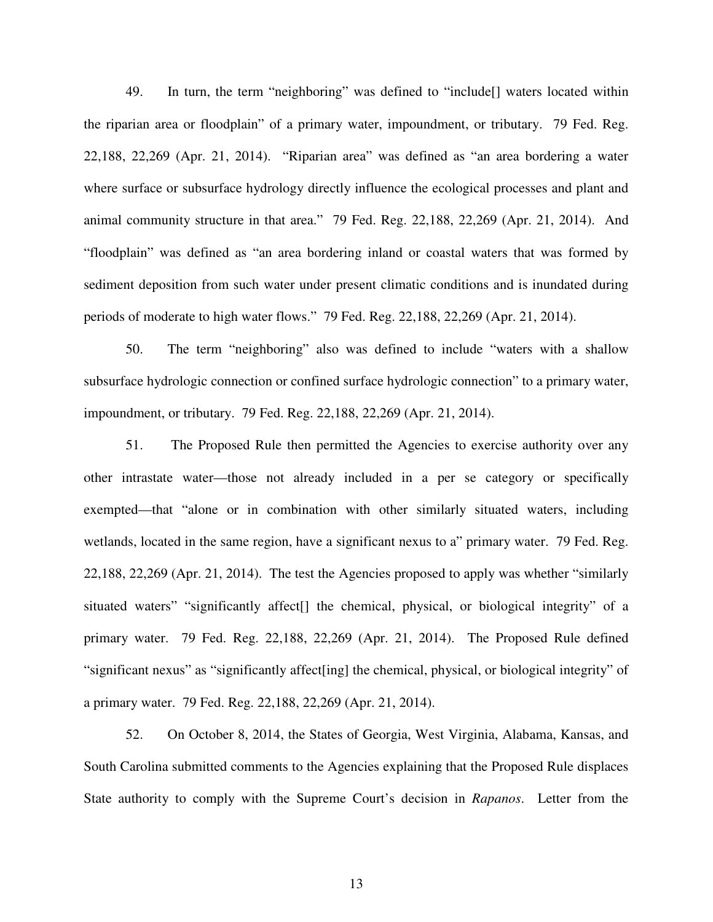49. In turn, the term "neighboring" was defined to "include[] waters located within the riparian area or floodplain" of a primary water, impoundment, or tributary. 79 Fed. Reg. 22,188, 22,269 (Apr. 21, 2014). "Riparian area" was defined as "an area bordering a water where surface or subsurface hydrology directly influence the ecological processes and plant and animal community structure in that area." 79 Fed. Reg. 22,188, 22,269 (Apr. 21, 2014). And "floodplain" was defined as "an area bordering inland or coastal waters that was formed by sediment deposition from such water under present climatic conditions and is inundated during periods of moderate to high water flows." 79 Fed. Reg. 22,188, 22,269 (Apr. 21, 2014).

50. The term "neighboring" also was defined to include "waters with a shallow subsurface hydrologic connection or confined surface hydrologic connection" to a primary water, impoundment, or tributary. 79 Fed. Reg. 22,188, 22,269 (Apr. 21, 2014).

51. The Proposed Rule then permitted the Agencies to exercise authority over any other intrastate water—those not already included in a per se category or specifically exempted—that "alone or in combination with other similarly situated waters, including wetlands, located in the same region, have a significant nexus to a" primary water. 79 Fed. Reg. 22,188, 22,269 (Apr. 21, 2014). The test the Agencies proposed to apply was whether "similarly situated waters" "significantly affect<sup>[]</sup> the chemical, physical, or biological integrity" of a primary water. 79 Fed. Reg. 22,188, 22,269 (Apr. 21, 2014). The Proposed Rule defined "significant nexus" as "significantly affect[ing] the chemical, physical, or biological integrity" of a primary water. 79 Fed. Reg. 22,188, 22,269 (Apr. 21, 2014).

52. On October 8, 2014, the States of Georgia, West Virginia, Alabama, Kansas, and South Carolina submitted comments to the Agencies explaining that the Proposed Rule displaces State authority to comply with the Supreme Court's decision in *Rapanos*. Letter from the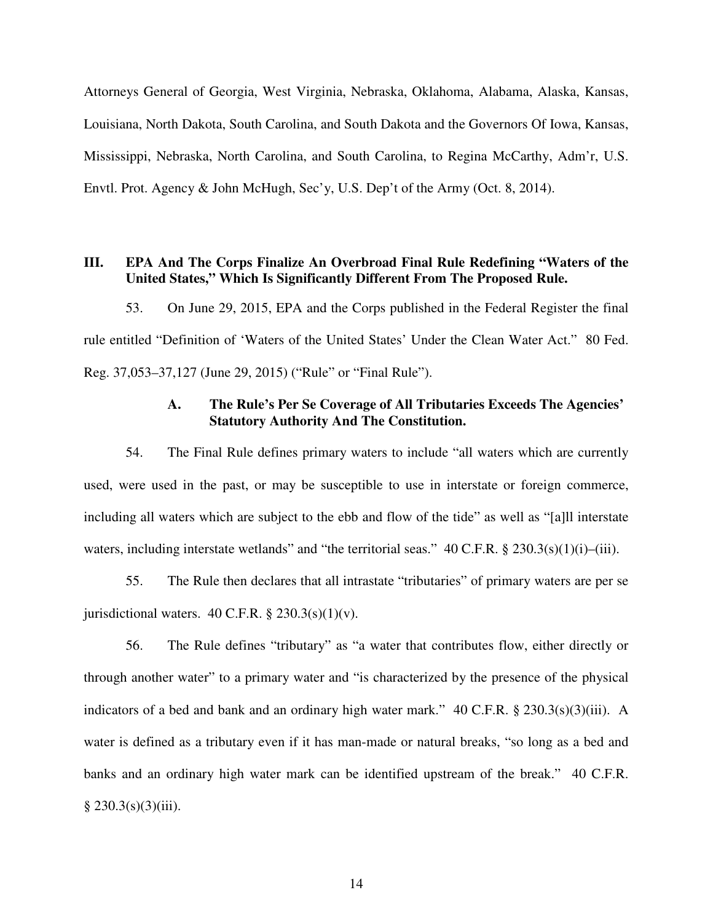Attorneys General of Georgia, West Virginia, Nebraska, Oklahoma, Alabama, Alaska, Kansas, Louisiana, North Dakota, South Carolina, and South Dakota and the Governors Of Iowa, Kansas, Mississippi, Nebraska, North Carolina, and South Carolina, to Regina McCarthy, Adm'r, U.S. Envtl. Prot. Agency & John McHugh, Sec'y, U.S. Dep't of the Army (Oct. 8, 2014).

# **III. EPA And The Corps Finalize An Overbroad Final Rule Redefining "Waters of the United States," Which Is Significantly Different From The Proposed Rule.**

53. On June 29, 2015, EPA and the Corps published in the Federal Register the final rule entitled "Definition of 'Waters of the United States' Under the Clean Water Act." 80 Fed. Reg. 37,053–37,127 (June 29, 2015) ("Rule" or "Final Rule").

# **A. The Rule's Per Se Coverage of All Tributaries Exceeds The Agencies' Statutory Authority And The Constitution.**

54. The Final Rule defines primary waters to include "all waters which are currently used, were used in the past, or may be susceptible to use in interstate or foreign commerce, including all waters which are subject to the ebb and flow of the tide" as well as "[a]ll interstate waters, including interstate wetlands" and "the territorial seas." 40 C.F.R. § 230.3(s)(1)(i)–(iii).

55. The Rule then declares that all intrastate "tributaries" of primary waters are per se jurisdictional waters.  $40$  C.F.R.  $\S$  230.3(s)(1)(v).

56. The Rule defines "tributary" as "a water that contributes flow, either directly or through another water" to a primary water and "is characterized by the presence of the physical indicators of a bed and bank and an ordinary high water mark." 40 C.F.R. § 230.3(s)(3)(iii). A water is defined as a tributary even if it has man-made or natural breaks, "so long as a bed and banks and an ordinary high water mark can be identified upstream of the break." 40 C.F.R.  $§ 230.3(s)(3)(iii).$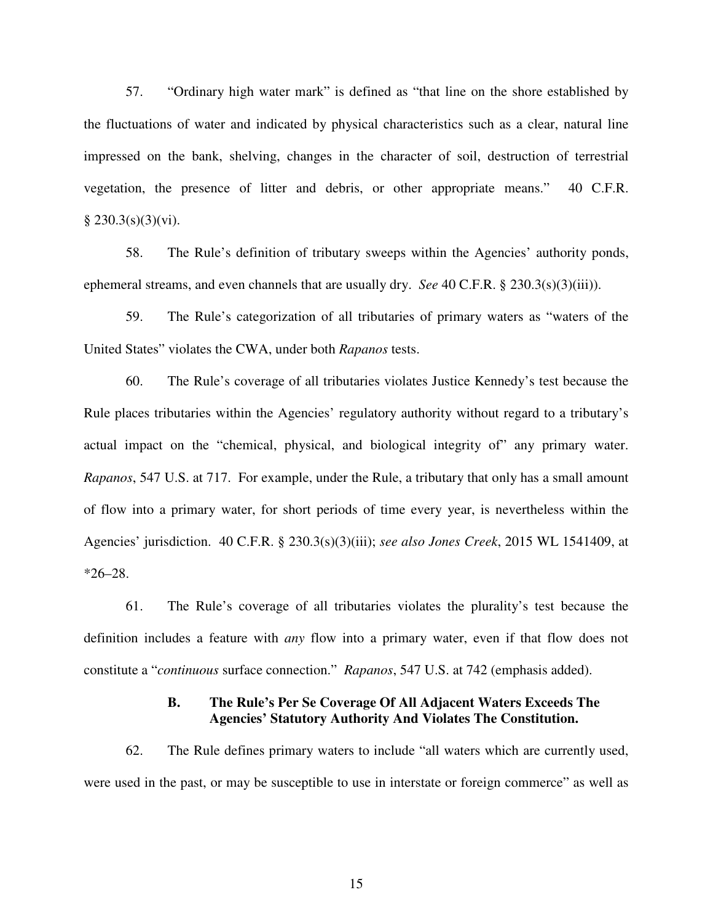57. "Ordinary high water mark" is defined as "that line on the shore established by the fluctuations of water and indicated by physical characteristics such as a clear, natural line impressed on the bank, shelving, changes in the character of soil, destruction of terrestrial vegetation, the presence of litter and debris, or other appropriate means." 40 C.F.R.  $§ 230.3(s)(3)(vi).$ 

58. The Rule's definition of tributary sweeps within the Agencies' authority ponds, ephemeral streams, and even channels that are usually dry. *See* 40 C.F.R. § 230.3(s)(3)(iii)).

59. The Rule's categorization of all tributaries of primary waters as "waters of the United States" violates the CWA, under both *Rapanos* tests.

60. The Rule's coverage of all tributaries violates Justice Kennedy's test because the Rule places tributaries within the Agencies' regulatory authority without regard to a tributary's actual impact on the "chemical, physical, and biological integrity of" any primary water. *Rapanos*, 547 U.S. at 717. For example, under the Rule, a tributary that only has a small amount of flow into a primary water, for short periods of time every year, is nevertheless within the Agencies' jurisdiction. 40 C.F.R. § 230.3(s)(3)(iii); *see also Jones Creek*, 2015 WL 1541409, at  $*26 - 28$ .

61. The Rule's coverage of all tributaries violates the plurality's test because the definition includes a feature with *any* flow into a primary water, even if that flow does not constitute a "*continuous* surface connection." *Rapanos*, 547 U.S. at 742 (emphasis added).

# **B. The Rule's Per Se Coverage Of All Adjacent Waters Exceeds The Agencies' Statutory Authority And Violates The Constitution.**

62. The Rule defines primary waters to include "all waters which are currently used, were used in the past, or may be susceptible to use in interstate or foreign commerce" as well as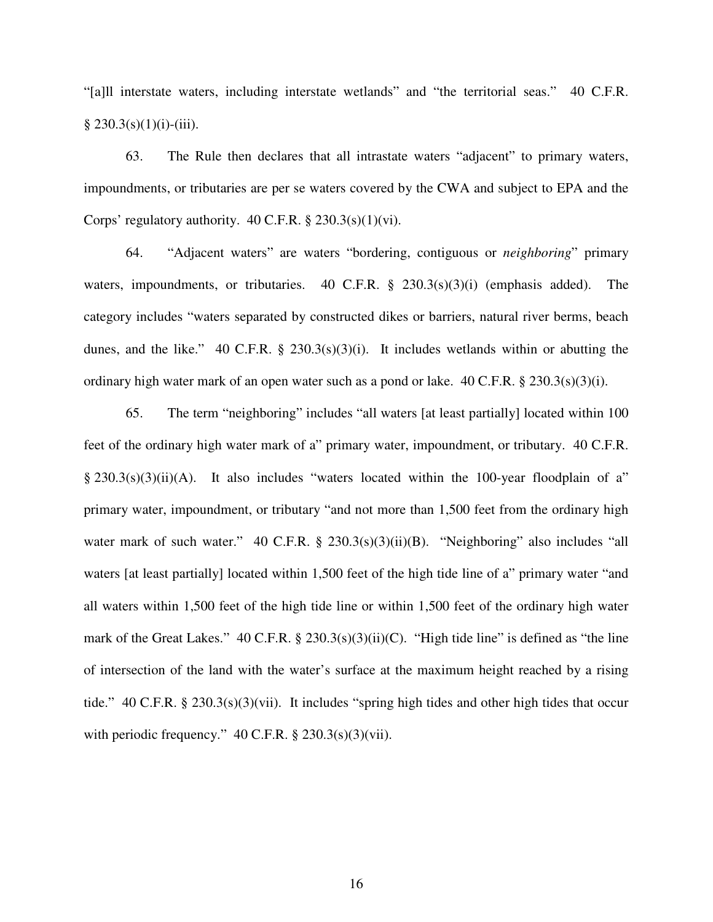"[a]ll interstate waters, including interstate wetlands" and "the territorial seas." 40 C.F.R.  $§$  230.3(s)(1)(i)-(iii).

63. The Rule then declares that all intrastate waters "adjacent" to primary waters, impoundments, or tributaries are per se waters covered by the CWA and subject to EPA and the Corps' regulatory authority.  $40$  C.F.R. §  $230.3(s)(1)(vi)$ .

64. "Adjacent waters" are waters "bordering, contiguous or *neighboring*" primary waters, impoundments, or tributaries. 40 C.F.R. § 230.3(s)(3)(i) (emphasis added). The category includes "waters separated by constructed dikes or barriers, natural river berms, beach dunes, and the like." 40 C.F.R.  $\S$  230.3(s)(3)(i). It includes wetlands within or abutting the ordinary high water mark of an open water such as a pond or lake.  $40 \text{ C.F.R.}$  §  $230.3 \text{(s)}(3)$ (i).

65. The term "neighboring" includes "all waters [at least partially] located within 100 feet of the ordinary high water mark of a" primary water, impoundment, or tributary. 40 C.F.R.  $\S 230.3(s)(3)(ii)(A)$ . It also includes "waters located within the 100-year floodplain of a" primary water, impoundment, or tributary "and not more than 1,500 feet from the ordinary high water mark of such water." 40 C.F.R. § 230.3(s)(3)(ii)(B). "Neighboring" also includes "all waters [at least partially] located within 1,500 feet of the high tide line of a" primary water "and all waters within 1,500 feet of the high tide line or within 1,500 feet of the ordinary high water mark of the Great Lakes."  $40 \text{ C.F.R.}$  §  $230.3(s)(3)(ii)(C)$ . "High tide line" is defined as "the line" of intersection of the land with the water's surface at the maximum height reached by a rising tide." 40 C.F.R. § 230.3(s)(3)(vii). It includes "spring high tides and other high tides that occur with periodic frequency."  $40$  C.F.R. §  $230.3(s)(3)(vii)$ .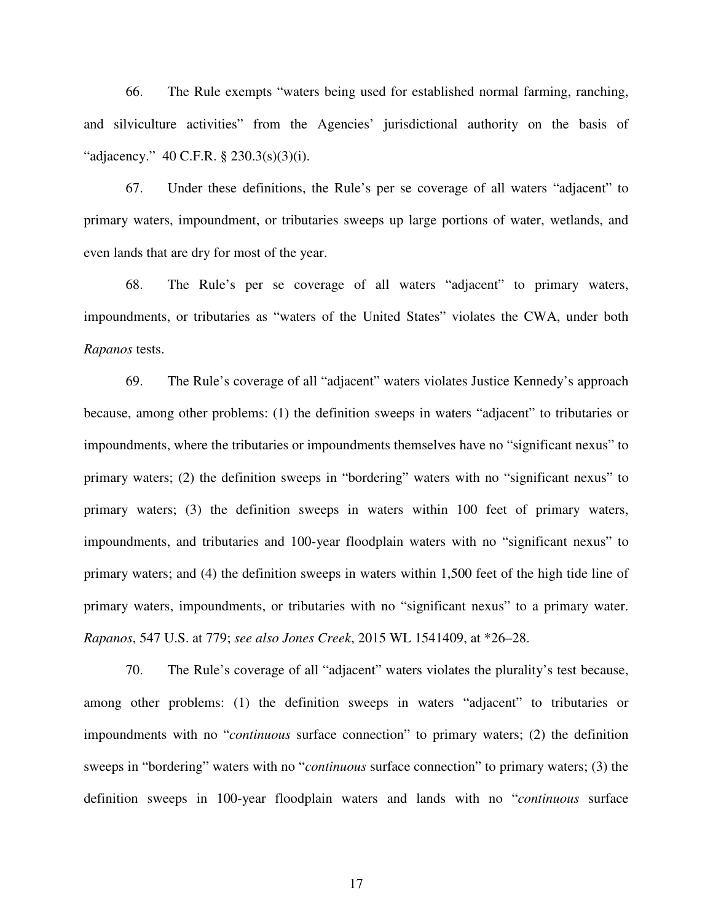66. The Rule exempts "waters being used for established normal farming, ranching, and silviculture activities" from the Agencies' jurisdictional authority on the basis of "adjacency." 40 C.F.R. § 230.3(s)(3)(i).

67. Under these definitions, the Rule's per se coverage of all waters "adjacent" to primary waters, impoundment, or tributaries sweeps up large portions of water, wetlands, and even lands that are dry for most of the year.

68. The Rule's per se coverage of all waters "adjacent" to primary waters, impoundments, or tributaries as "waters of the United States" violates the CWA, under both *Rapanos* tests.

69. The Rule's coverage of all "adjacent" waters violates Justice Kennedy's approach because, among other problems: (1) the definition sweeps in waters "adjacent" to tributaries or impoundments, where the tributaries or impoundments themselves have no "significant nexus" to primary waters; (2) the definition sweeps in "bordering" waters with no "significant nexus" to primary waters; (3) the definition sweeps in waters within 100 feet of primary waters, impoundments, and tributaries and 100-year floodplain waters with no "significant nexus" to primary waters; and (4) the definition sweeps in waters within 1,500 feet of the high tide line of primary waters, impoundments, or tributaries with no "significant nexus" to a primary water. *Rapanos*, 547 U.S. at 779; *see also Jones Creek*, 2015 WL 1541409, at \*26–28.

70. The Rule's coverage of all "adjacent" waters violates the plurality's test because, among other problems: (1) the definition sweeps in waters "adjacent" to tributaries or impoundments with no "*continuous* surface connection" to primary waters; (2) the definition sweeps in "bordering" waters with no "*continuous* surface connection" to primary waters; (3) the definition sweeps in 100-year floodplain waters and lands with no "*continuous* surface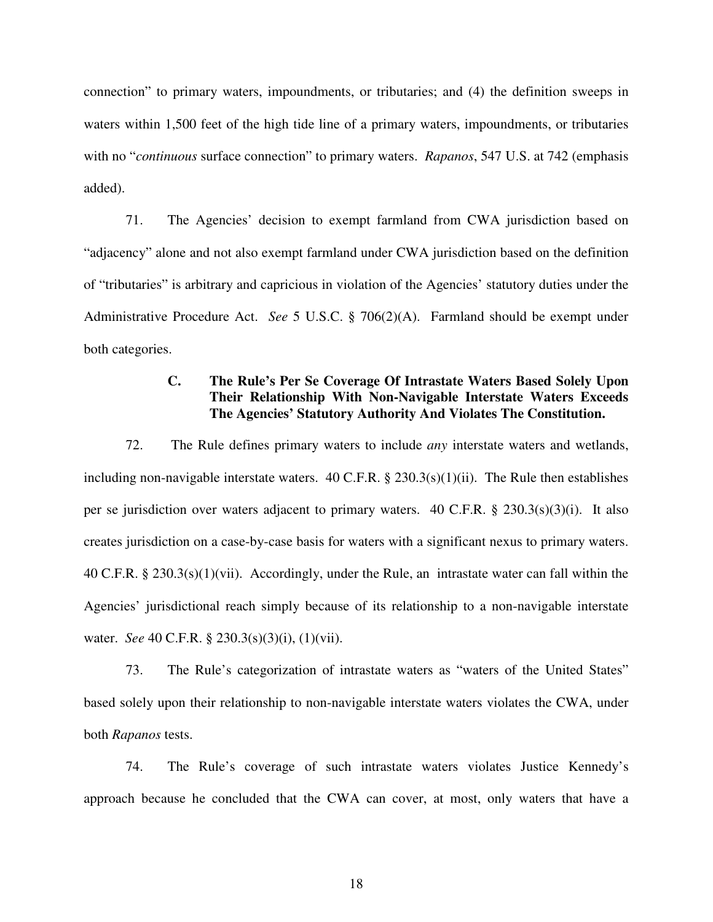connection" to primary waters, impoundments, or tributaries; and (4) the definition sweeps in waters within 1,500 feet of the high tide line of a primary waters, impoundments, or tributaries with no "*continuous* surface connection" to primary waters. *Rapanos*, 547 U.S. at 742 (emphasis added).

71. The Agencies' decision to exempt farmland from CWA jurisdiction based on "adjacency" alone and not also exempt farmland under CWA jurisdiction based on the definition of "tributaries" is arbitrary and capricious in violation of the Agencies' statutory duties under the Administrative Procedure Act. *See* 5 U.S.C. § 706(2)(A). Farmland should be exempt under both categories.

# **C. The Rule's Per Se Coverage Of Intrastate Waters Based Solely Upon Their Relationship With Non-Navigable Interstate Waters Exceeds The Agencies' Statutory Authority And Violates The Constitution.**

72. The Rule defines primary waters to include *any* interstate waters and wetlands, including non-navigable interstate waters. 40 C.F.R. § 230.3(s)(1)(ii). The Rule then establishes per se jurisdiction over waters adjacent to primary waters. 40 C.F.R. § 230.3(s)(3)(i). It also creates jurisdiction on a case-by-case basis for waters with a significant nexus to primary waters. 40 C.F.R. § 230.3(s)(1)(vii). Accordingly, under the Rule, an intrastate water can fall within the Agencies' jurisdictional reach simply because of its relationship to a non-navigable interstate water. *See* 40 C.F.R. § 230.3(s)(3)(i), (1)(vii).

73. The Rule's categorization of intrastate waters as "waters of the United States" based solely upon their relationship to non-navigable interstate waters violates the CWA, under both *Rapanos* tests.

74. The Rule's coverage of such intrastate waters violates Justice Kennedy's approach because he concluded that the CWA can cover, at most, only waters that have a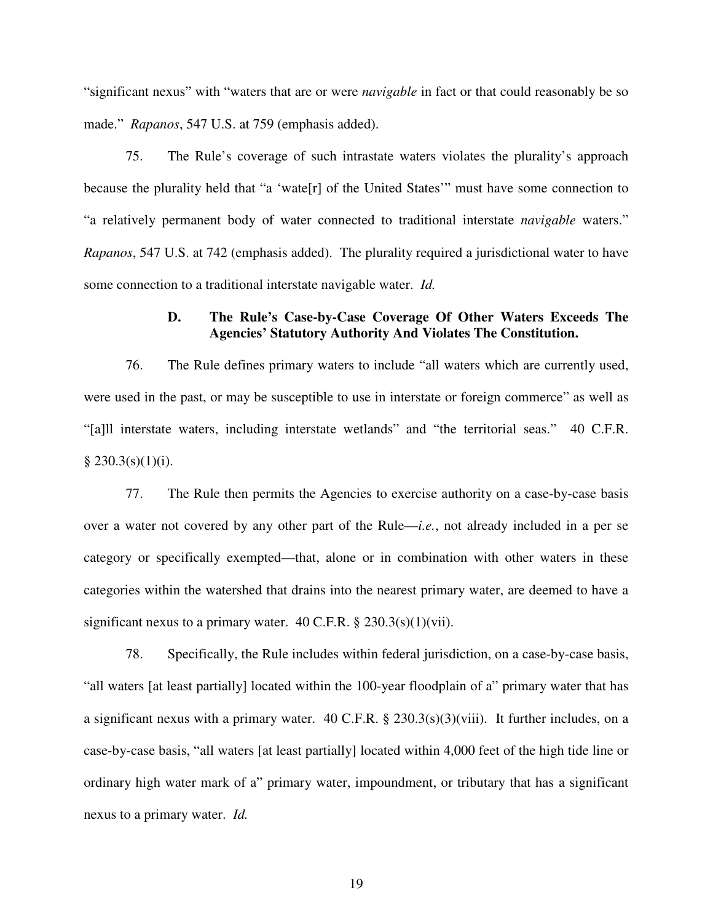"significant nexus" with "waters that are or were *navigable* in fact or that could reasonably be so made." *Rapanos*, 547 U.S. at 759 (emphasis added).

75. The Rule's coverage of such intrastate waters violates the plurality's approach because the plurality held that "a 'wate[r] of the United States'" must have some connection to "a relatively permanent body of water connected to traditional interstate *navigable* waters." *Rapanos*, 547 U.S. at 742 (emphasis added). The plurality required a jurisdictional water to have some connection to a traditional interstate navigable water. *Id.* 

# **D. The Rule's Case-by-Case Coverage Of Other Waters Exceeds The Agencies' Statutory Authority And Violates The Constitution.**

76. The Rule defines primary waters to include "all waters which are currently used, were used in the past, or may be susceptible to use in interstate or foreign commerce" as well as "[a]ll interstate waters, including interstate wetlands" and "the territorial seas." 40 C.F.R.  $§ 230.3(s)(1)(i).$ 

77. The Rule then permits the Agencies to exercise authority on a case-by-case basis over a water not covered by any other part of the Rule—*i.e.*, not already included in a per se category or specifically exempted—that, alone or in combination with other waters in these categories within the watershed that drains into the nearest primary water, are deemed to have a significant nexus to a primary water.  $40$  C.F.R. §  $230.3(s)(1)(vii)$ .

78. Specifically, the Rule includes within federal jurisdiction, on a case-by-case basis, "all waters [at least partially] located within the 100-year floodplain of a" primary water that has a significant nexus with a primary water. 40 C.F.R. §  $230.3(s)(3)(viii)$ . It further includes, on a case-by-case basis, "all waters [at least partially] located within 4,000 feet of the high tide line or ordinary high water mark of a" primary water, impoundment, or tributary that has a significant nexus to a primary water. *Id.*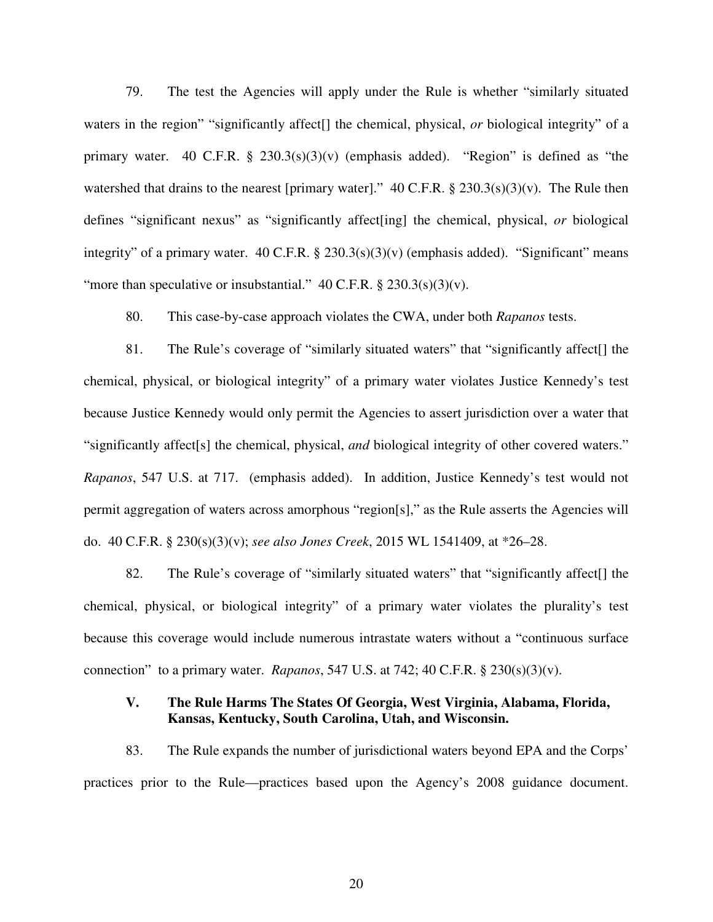79. The test the Agencies will apply under the Rule is whether "similarly situated waters in the region" "significantly affect[] the chemical, physical, *or* biological integrity" of a primary water. 40 C.F.R.  $\S$  230.3(s)(3)(v) (emphasis added). "Region" is defined as "the watershed that drains to the nearest [primary water]."  $40$  C.F.R. § 230.3(s)(3)(v). The Rule then defines "significant nexus" as "significantly affect[ing] the chemical, physical, *or* biological integrity" of a primary water. 40 C.F.R. § 230.3(s)(3)(v) (emphasis added). "Significant" means "more than speculative or insubstantial."  $40$  C.F.R. §  $230.3(s)(3)(v)$ .

80. This case-by-case approach violates the CWA, under both *Rapanos* tests.

81. The Rule's coverage of "similarly situated waters" that "significantly affect[] the chemical, physical, or biological integrity" of a primary water violates Justice Kennedy's test because Justice Kennedy would only permit the Agencies to assert jurisdiction over a water that "significantly affect[s] the chemical, physical, *and* biological integrity of other covered waters." *Rapanos*, 547 U.S. at 717. (emphasis added). In addition, Justice Kennedy's test would not permit aggregation of waters across amorphous "region[s]," as the Rule asserts the Agencies will do. 40 C.F.R. § 230(s)(3)(v); *see also Jones Creek*, 2015 WL 1541409, at \*26–28.

82. The Rule's coverage of "similarly situated waters" that "significantly affect[] the chemical, physical, or biological integrity" of a primary water violates the plurality's test because this coverage would include numerous intrastate waters without a "continuous surface connection" to a primary water. *Rapanos*, 547 U.S. at 742; 40 C.F.R. § 230(s)(3)(v).

# **V. The Rule Harms The States Of Georgia, West Virginia, Alabama, Florida, Kansas, Kentucky, South Carolina, Utah, and Wisconsin.**

83. The Rule expands the number of jurisdictional waters beyond EPA and the Corps' practices prior to the Rule—practices based upon the Agency's 2008 guidance document.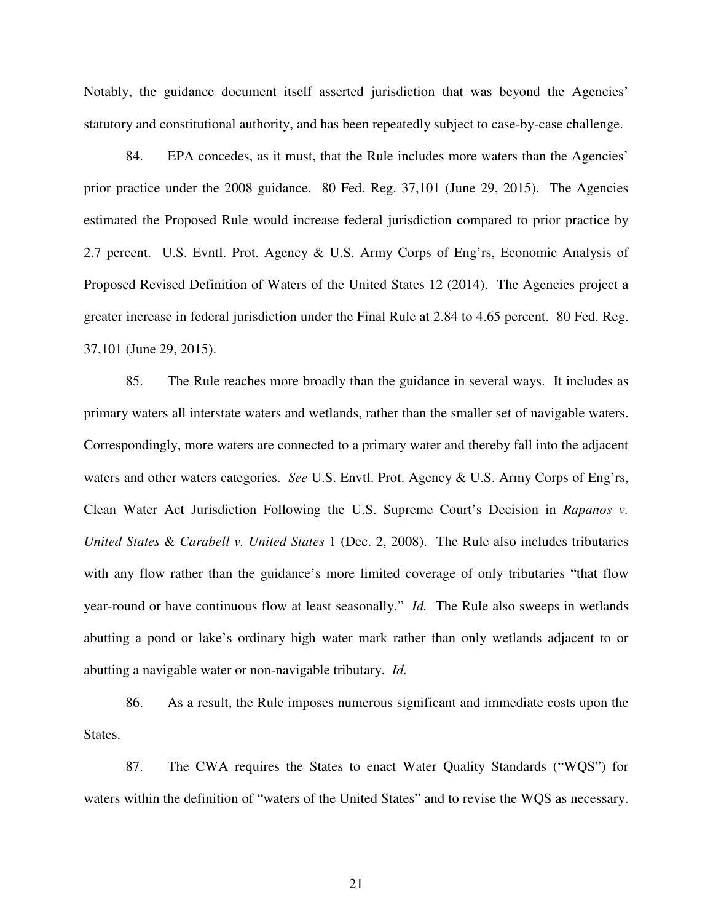Notably, the guidance document itself asserted jurisdiction that was beyond the Agencies' statutory and constitutional authority, and has been repeatedly subject to case-by-case challenge.

84. EPA concedes, as it must, that the Rule includes more waters than the Agencies' prior practice under the 2008 guidance. 80 Fed. Reg. 37,101 (June 29, 2015). The Agencies estimated the Proposed Rule would increase federal jurisdiction compared to prior practice by 2.7 percent. U.S. Evntl. Prot. Agency & U.S. Army Corps of Eng'rs, Economic Analysis of Proposed Revised Definition of Waters of the United States 12 (2014). The Agencies project a greater increase in federal jurisdiction under the Final Rule at 2.84 to 4.65 percent. 80 Fed. Reg. 37,101 (June 29, 2015).

85. The Rule reaches more broadly than the guidance in several ways. It includes as primary waters all interstate waters and wetlands, rather than the smaller set of navigable waters. Correspondingly, more waters are connected to a primary water and thereby fall into the adjacent waters and other waters categories. *See* U.S. Envtl. Prot. Agency & U.S. Army Corps of Eng'rs, Clean Water Act Jurisdiction Following the U.S. Supreme Court's Decision in *Rapanos v. United States* & *Carabell v. United States* 1 (Dec. 2, 2008). The Rule also includes tributaries with any flow rather than the guidance's more limited coverage of only tributaries "that flow year-round or have continuous flow at least seasonally." *Id.* The Rule also sweeps in wetlands abutting a pond or lake's ordinary high water mark rather than only wetlands adjacent to or abutting a navigable water or non-navigable tributary. *Id.*

86. As a result, the Rule imposes numerous significant and immediate costs upon the States.

87. The CWA requires the States to enact Water Quality Standards ("WQS") for waters within the definition of "waters of the United States" and to revise the WQS as necessary.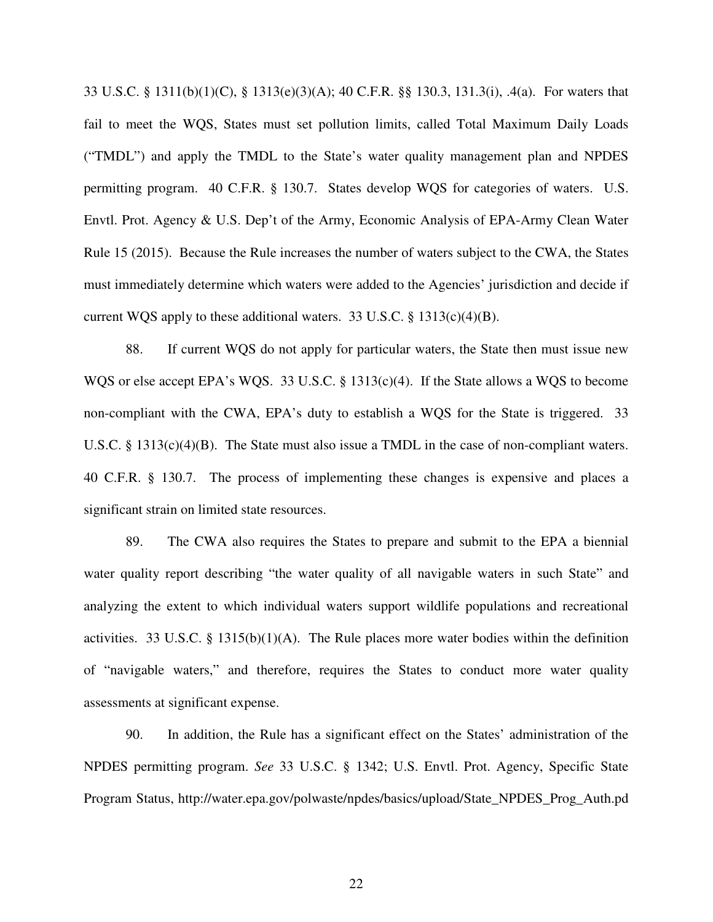33 U.S.C. § 1311(b)(1)(C), § 1313(e)(3)(A); 40 C.F.R. §§ 130.3, 131.3(i), .4(a). For waters that fail to meet the WQS, States must set pollution limits, called Total Maximum Daily Loads ("TMDL") and apply the TMDL to the State's water quality management plan and NPDES permitting program. 40 C.F.R. § 130.7. States develop WQS for categories of waters. U.S. Envtl. Prot. Agency & U.S. Dep't of the Army, Economic Analysis of EPA-Army Clean Water Rule 15 (2015). Because the Rule increases the number of waters subject to the CWA, the States must immediately determine which waters were added to the Agencies' jurisdiction and decide if current WQS apply to these additional waters. 33 U.S.C.  $\S$  1313(c)(4)(B).

88. If current WQS do not apply for particular waters, the State then must issue new WQS or else accept EPA's WQS. 33 U.S.C. § 1313(c)(4). If the State allows a WQS to become non-compliant with the CWA, EPA's duty to establish a WQS for the State is triggered. 33 U.S.C. § 1313(c)(4)(B). The State must also issue a TMDL in the case of non-compliant waters. 40 C.F.R. § 130.7. The process of implementing these changes is expensive and places a significant strain on limited state resources.

89. The CWA also requires the States to prepare and submit to the EPA a biennial water quality report describing "the water quality of all navigable waters in such State" and analyzing the extent to which individual waters support wildlife populations and recreational activities. 33 U.S.C. § 1315(b)(1)(A). The Rule places more water bodies within the definition of "navigable waters," and therefore, requires the States to conduct more water quality assessments at significant expense.

90. In addition, the Rule has a significant effect on the States' administration of the NPDES permitting program. *See* 33 U.S.C. § 1342; U.S. Envtl. Prot. Agency, Specific State Program Status, http://water.epa.gov/polwaste/npdes/basics/upload/State\_NPDES\_Prog\_Auth.pd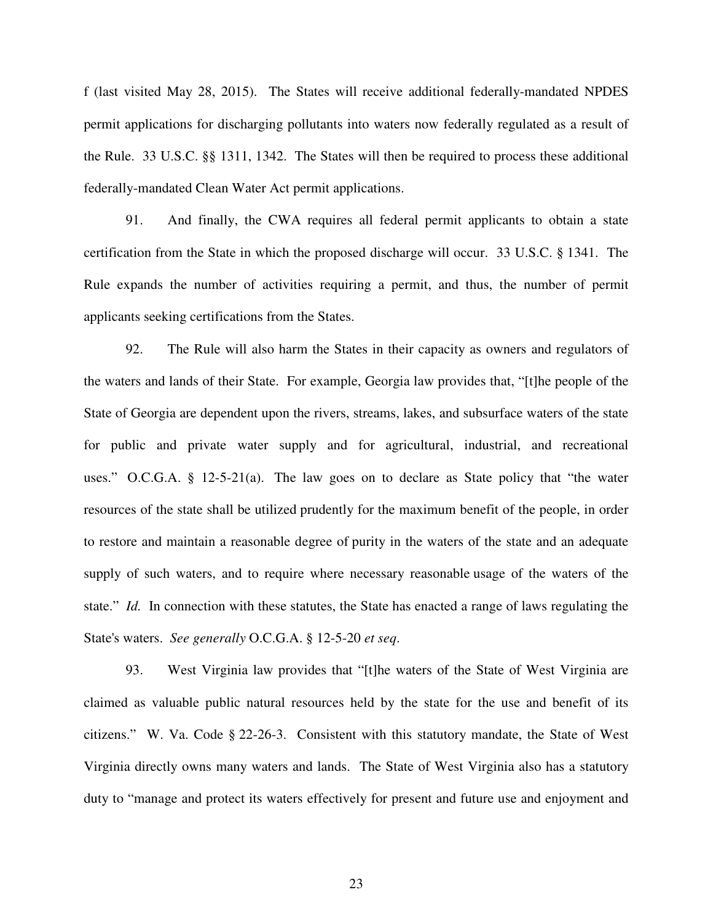f (last visited May 28, 2015). The States will receive additional federally-mandated NPDES permit applications for discharging pollutants into waters now federally regulated as a result of the Rule. 33 U.S.C. §§ 1311, 1342. The States will then be required to process these additional federally-mandated Clean Water Act permit applications.

91. And finally, the CWA requires all federal permit applicants to obtain a state certification from the State in which the proposed discharge will occur. 33 U.S.C. § 1341. The Rule expands the number of activities requiring a permit, and thus, the number of permit applicants seeking certifications from the States.

92. The Rule will also harm the States in their capacity as owners and regulators of the waters and lands of their State. For example, Georgia law provides that, "[t]he people of the State of Georgia are dependent upon the rivers, streams, lakes, and subsurface waters of the state for public and private water supply and for agricultural, industrial, and recreational uses." O.C.G.A. § 12-5-21(a). The law goes on to declare as State policy that "the water resources of the state shall be utilized prudently for the maximum benefit of the people, in order to restore and maintain a reasonable degree of purity in the waters of the state and an adequate supply of such waters, and to require where necessary reasonable usage of the waters of the state." *Id.* In connection with these statutes, the State has enacted a range of laws regulating the State's waters. *See generally* O.C.G.A. § 12-5-20 *et seq*.

93. West Virginia law provides that "[t]he waters of the State of West Virginia are claimed as valuable public natural resources held by the state for the use and benefit of its citizens." W. Va. Code § 22-26-3. Consistent with this statutory mandate, the State of West Virginia directly owns many waters and lands. The State of West Virginia also has a statutory duty to "manage and protect its waters effectively for present and future use and enjoyment and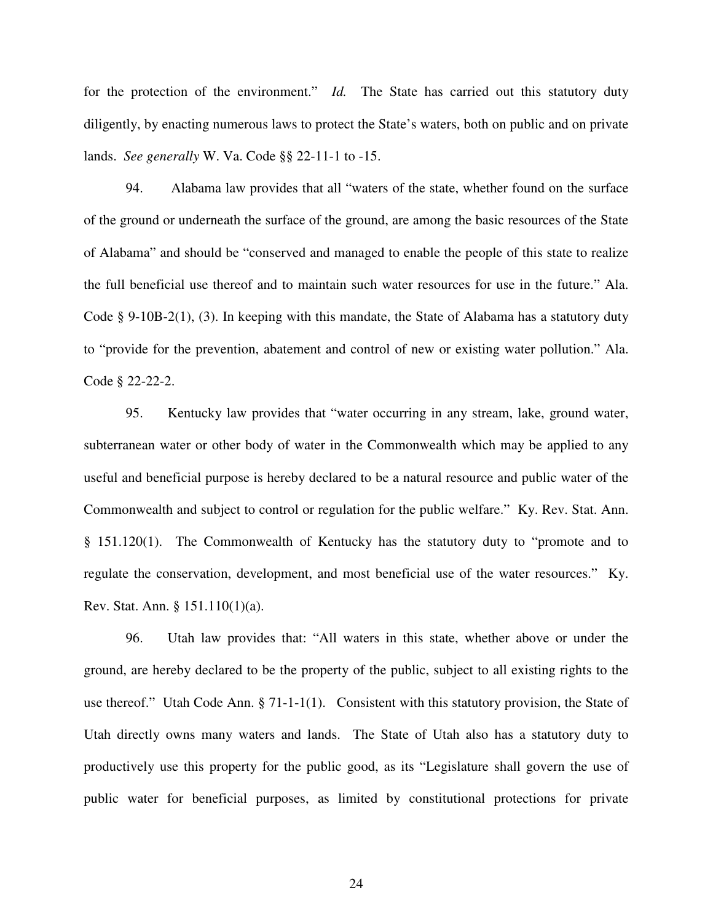for the protection of the environment." *Id.* The State has carried out this statutory duty diligently, by enacting numerous laws to protect the State's waters, both on public and on private lands. *See generally* W. Va. Code §§ 22-11-1 to -15.

94. Alabama law provides that all "waters of the state, whether found on the surface of the ground or underneath the surface of the ground, are among the basic resources of the State of Alabama" and should be "conserved and managed to enable the people of this state to realize the full beneficial use thereof and to maintain such water resources for use in the future." Ala. Code § 9-10B-2(1), (3). In keeping with this mandate, the State of Alabama has a statutory duty to "provide for the prevention, abatement and control of new or existing water pollution." Ala. Code § 22-22-2.

95. Kentucky law provides that "water occurring in any stream, lake, ground water, subterranean water or other body of water in the Commonwealth which may be applied to any useful and beneficial purpose is hereby declared to be a natural resource and public water of the Commonwealth and subject to control or regulation for the public welfare." Ky. Rev. Stat. Ann. § 151.120(1). The Commonwealth of Kentucky has the statutory duty to "promote and to regulate the conservation, development, and most beneficial use of the water resources." Ky. Rev. Stat. Ann. § 151.110(1)(a).

96. Utah law provides that: "All waters in this state, whether above or under the ground, are hereby declared to be the property of the public, subject to all existing rights to the use thereof." Utah Code Ann. § 71-1-1(1). Consistent with this statutory provision, the State of Utah directly owns many waters and lands. The State of Utah also has a statutory duty to productively use this property for the public good, as its "Legislature shall govern the use of public water for beneficial purposes, as limited by constitutional protections for private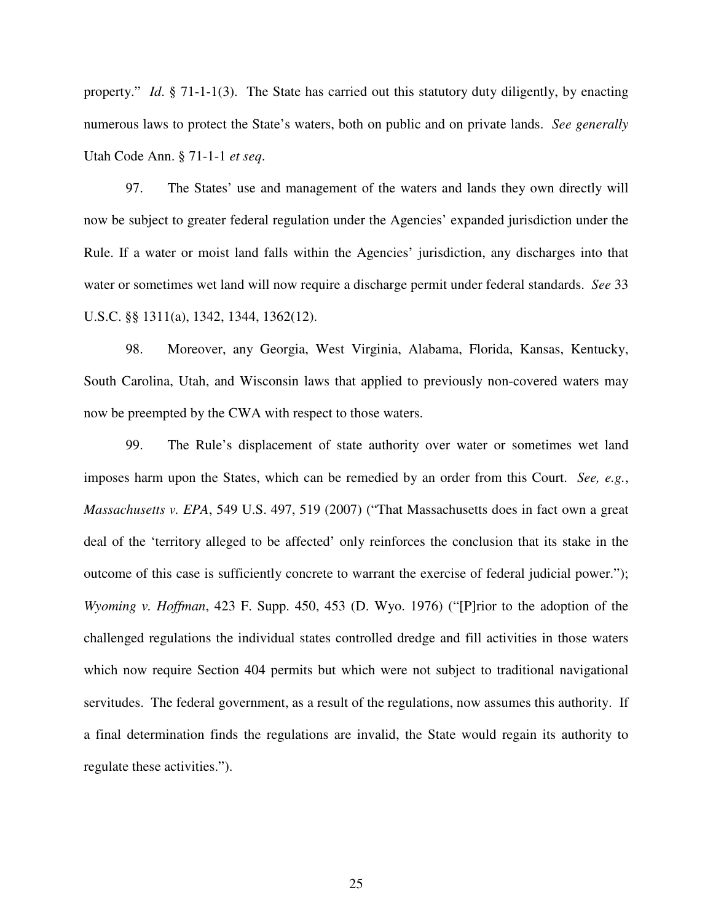property." *Id*. § 71-1-1(3). The State has carried out this statutory duty diligently, by enacting numerous laws to protect the State's waters, both on public and on private lands. *See generally* Utah Code Ann. § 71-1-1 *et seq*.

97. The States' use and management of the waters and lands they own directly will now be subject to greater federal regulation under the Agencies' expanded jurisdiction under the Rule. If a water or moist land falls within the Agencies' jurisdiction, any discharges into that water or sometimes wet land will now require a discharge permit under federal standards. *See* 33 U.S.C. §§ 1311(a), 1342, 1344, 1362(12).

98. Moreover, any Georgia, West Virginia, Alabama, Florida, Kansas, Kentucky, South Carolina, Utah, and Wisconsin laws that applied to previously non-covered waters may now be preempted by the CWA with respect to those waters.

99. The Rule's displacement of state authority over water or sometimes wet land imposes harm upon the States, which can be remedied by an order from this Court. *See, e.g.*, *Massachusetts v. EPA*, 549 U.S. 497, 519 (2007) ("That Massachusetts does in fact own a great deal of the 'territory alleged to be affected' only reinforces the conclusion that its stake in the outcome of this case is sufficiently concrete to warrant the exercise of federal judicial power."); *Wyoming v. Hoffman*, 423 F. Supp. 450, 453 (D. Wyo. 1976) ("[P]rior to the adoption of the challenged regulations the individual states controlled dredge and fill activities in those waters which now require Section 404 permits but which were not subject to traditional navigational servitudes. The federal government, as a result of the regulations, now assumes this authority. If a final determination finds the regulations are invalid, the State would regain its authority to regulate these activities.").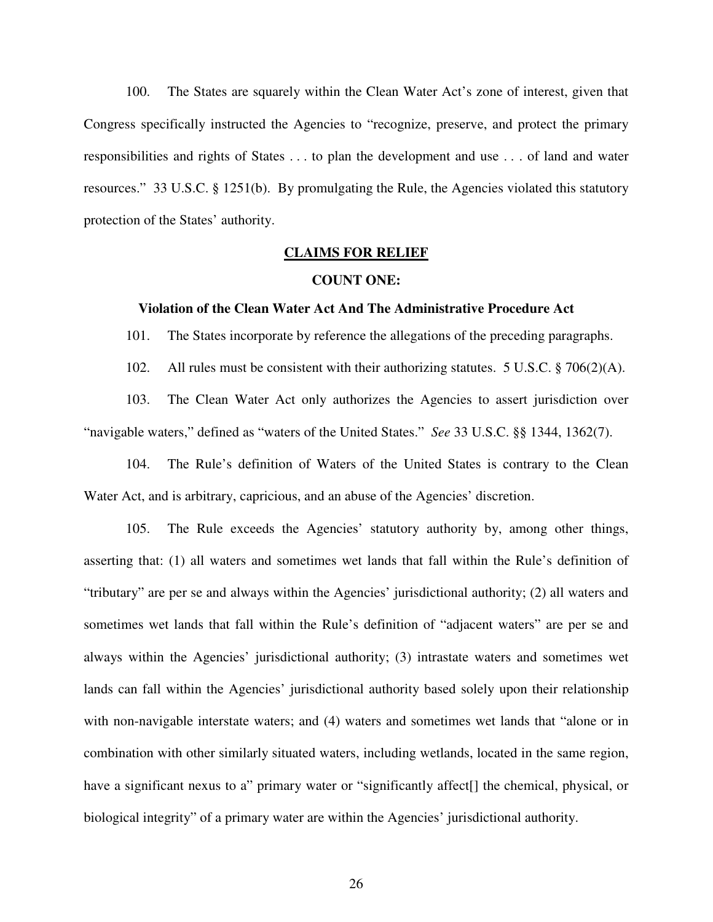100. The States are squarely within the Clean Water Act's zone of interest, given that Congress specifically instructed the Agencies to "recognize, preserve, and protect the primary responsibilities and rights of States . . . to plan the development and use . . . of land and water resources." 33 U.S.C. § 1251(b). By promulgating the Rule, the Agencies violated this statutory protection of the States' authority.

## **CLAIMS FOR RELIEF**

### **COUNT ONE:**

# **Violation of the Clean Water Act And The Administrative Procedure Act**

101. The States incorporate by reference the allegations of the preceding paragraphs.

102. All rules must be consistent with their authorizing statutes. 5 U.S.C. § 706(2)(A).

103. The Clean Water Act only authorizes the Agencies to assert jurisdiction over "navigable waters," defined as "waters of the United States." *See* 33 U.S.C. §§ 1344, 1362(7).

104. The Rule's definition of Waters of the United States is contrary to the Clean Water Act, and is arbitrary, capricious, and an abuse of the Agencies' discretion.

105. The Rule exceeds the Agencies' statutory authority by, among other things, asserting that: (1) all waters and sometimes wet lands that fall within the Rule's definition of "tributary" are per se and always within the Agencies' jurisdictional authority; (2) all waters and sometimes wet lands that fall within the Rule's definition of "adjacent waters" are per se and always within the Agencies' jurisdictional authority; (3) intrastate waters and sometimes wet lands can fall within the Agencies' jurisdictional authority based solely upon their relationship with non-navigable interstate waters; and (4) waters and sometimes wet lands that "alone or in combination with other similarly situated waters, including wetlands, located in the same region, have a significant nexus to a" primary water or "significantly affect<sup>[]</sup> the chemical, physical, or biological integrity" of a primary water are within the Agencies' jurisdictional authority.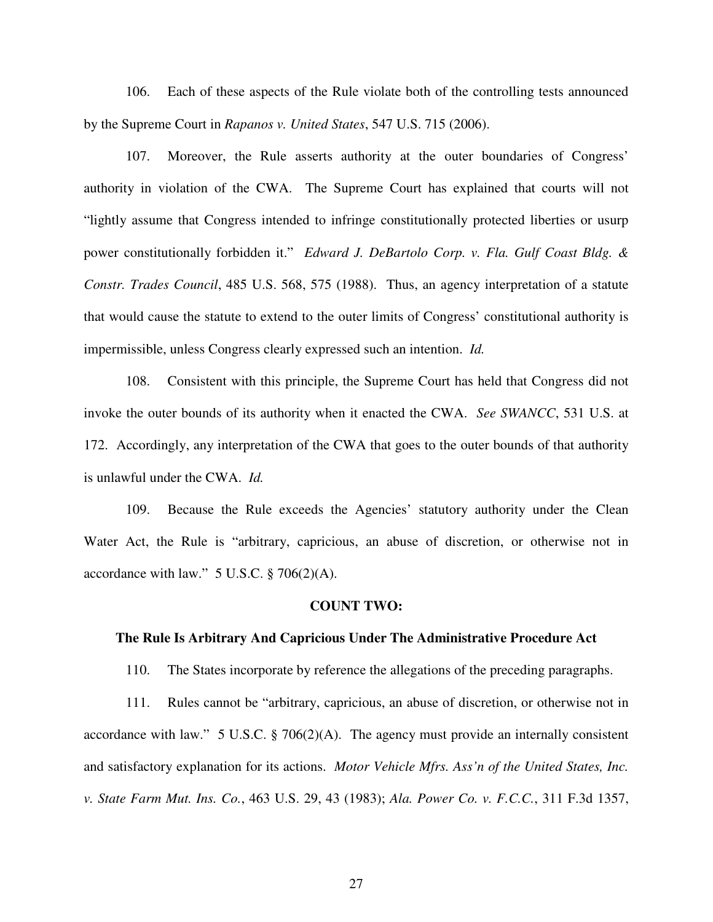106. Each of these aspects of the Rule violate both of the controlling tests announced by the Supreme Court in *Rapanos v. United States*, 547 U.S. 715 (2006).

107. Moreover, the Rule asserts authority at the outer boundaries of Congress' authority in violation of the CWA. The Supreme Court has explained that courts will not "lightly assume that Congress intended to infringe constitutionally protected liberties or usurp power constitutionally forbidden it." *Edward J. DeBartolo Corp. v. Fla. Gulf Coast Bldg. & Constr. Trades Council*, 485 U.S. 568, 575 (1988). Thus, an agency interpretation of a statute that would cause the statute to extend to the outer limits of Congress' constitutional authority is impermissible, unless Congress clearly expressed such an intention. *Id.*

108. Consistent with this principle, the Supreme Court has held that Congress did not invoke the outer bounds of its authority when it enacted the CWA. *See SWANCC*, 531 U.S. at 172. Accordingly, any interpretation of the CWA that goes to the outer bounds of that authority is unlawful under the CWA. *Id.*

109. Because the Rule exceeds the Agencies' statutory authority under the Clean Water Act, the Rule is "arbitrary, capricious, an abuse of discretion, or otherwise not in accordance with law." 5 U.S.C. § 706(2)(A).

#### **COUNT TWO:**

#### **The Rule Is Arbitrary And Capricious Under The Administrative Procedure Act**

110. The States incorporate by reference the allegations of the preceding paragraphs.

111. Rules cannot be "arbitrary, capricious, an abuse of discretion, or otherwise not in accordance with law." 5 U.S.C. § 706(2)(A). The agency must provide an internally consistent and satisfactory explanation for its actions. *Motor Vehicle Mfrs. Ass'n of the United States, Inc. v. State Farm Mut. Ins. Co.*, 463 U.S. 29, 43 (1983); *Ala. Power Co. v. F.C.C.*, 311 F.3d 1357,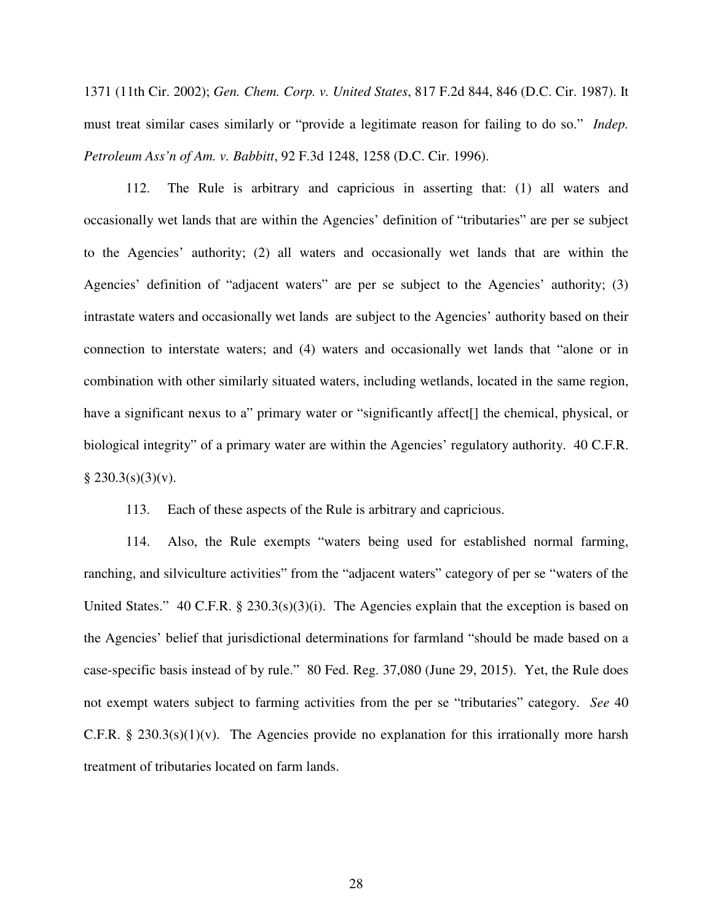1371 (11th Cir. 2002); *Gen. Chem. Corp. v. United States*, 817 F.2d 844, 846 (D.C. Cir. 1987). It must treat similar cases similarly or "provide a legitimate reason for failing to do so." *Indep. Petroleum Ass'n of Am. v. Babbitt*, 92 F.3d 1248, 1258 (D.C. Cir. 1996).

112. The Rule is arbitrary and capricious in asserting that: (1) all waters and occasionally wet lands that are within the Agencies' definition of "tributaries" are per se subject to the Agencies' authority; (2) all waters and occasionally wet lands that are within the Agencies' definition of "adjacent waters" are per se subject to the Agencies' authority; (3) intrastate waters and occasionally wet lands are subject to the Agencies' authority based on their connection to interstate waters; and (4) waters and occasionally wet lands that "alone or in combination with other similarly situated waters, including wetlands, located in the same region, have a significant nexus to a" primary water or "significantly affect<sup>[]</sup> the chemical, physical, or biological integrity" of a primary water are within the Agencies' regulatory authority. 40 C.F.R.  $§$  230.3(s)(3)(v).

113. Each of these aspects of the Rule is arbitrary and capricious.

114. Also, the Rule exempts "waters being used for established normal farming, ranching, and silviculture activities" from the "adjacent waters" category of per se "waters of the United States."  $40 \text{ C.F.R. }$  §  $230.3(s)(3)(i)$ . The Agencies explain that the exception is based on the Agencies' belief that jurisdictional determinations for farmland "should be made based on a case-specific basis instead of by rule." 80 Fed. Reg. 37,080 (June 29, 2015). Yet, the Rule does not exempt waters subject to farming activities from the per se "tributaries" category. *See* 40 C.F.R. § 230.3(s)(1)(v). The Agencies provide no explanation for this irrationally more harsh treatment of tributaries located on farm lands.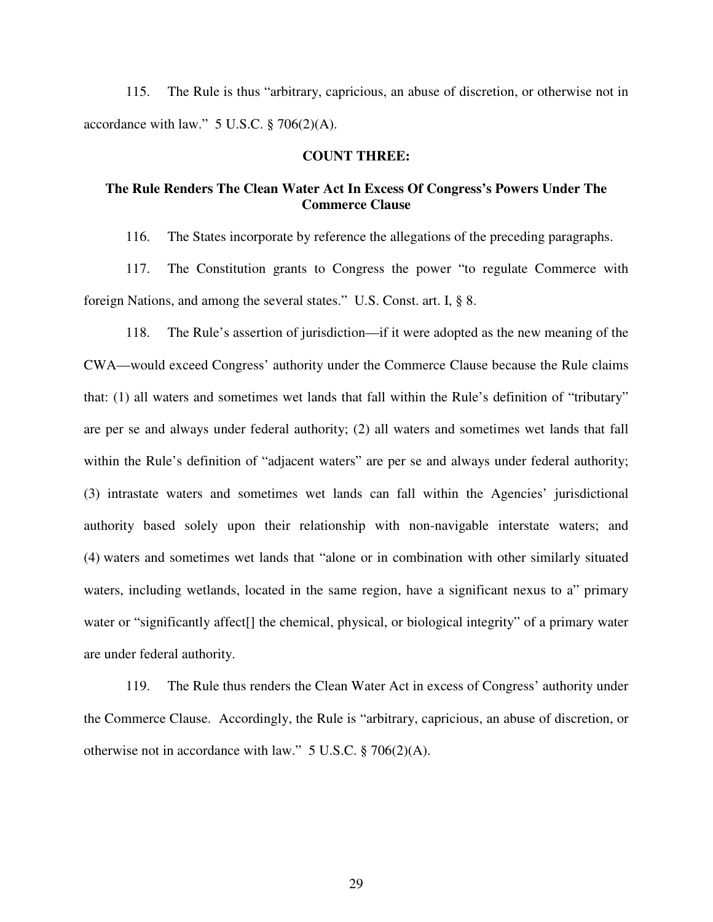115. The Rule is thus "arbitrary, capricious, an abuse of discretion, or otherwise not in accordance with law."  $5$  U.S.C.  $\S$  706(2)(A).

## **COUNT THREE:**

# **The Rule Renders The Clean Water Act In Excess Of Congress's Powers Under The Commerce Clause**

116. The States incorporate by reference the allegations of the preceding paragraphs.

117. The Constitution grants to Congress the power "to regulate Commerce with foreign Nations, and among the several states." U.S. Const. art. I, § 8.

118. The Rule's assertion of jurisdiction—if it were adopted as the new meaning of the CWA—would exceed Congress' authority under the Commerce Clause because the Rule claims that: (1) all waters and sometimes wet lands that fall within the Rule's definition of "tributary" are per se and always under federal authority; (2) all waters and sometimes wet lands that fall within the Rule's definition of "adjacent waters" are per se and always under federal authority; (3) intrastate waters and sometimes wet lands can fall within the Agencies' jurisdictional authority based solely upon their relationship with non-navigable interstate waters; and (4) waters and sometimes wet lands that "alone or in combination with other similarly situated waters, including wetlands, located in the same region, have a significant nexus to a" primary water or "significantly affect<sup>[]</sup> the chemical, physical, or biological integrity" of a primary water are under federal authority.

119. The Rule thus renders the Clean Water Act in excess of Congress' authority under the Commerce Clause. Accordingly, the Rule is "arbitrary, capricious, an abuse of discretion, or otherwise not in accordance with law."  $5 \text{ U.S.C.}$  § 706(2)(A).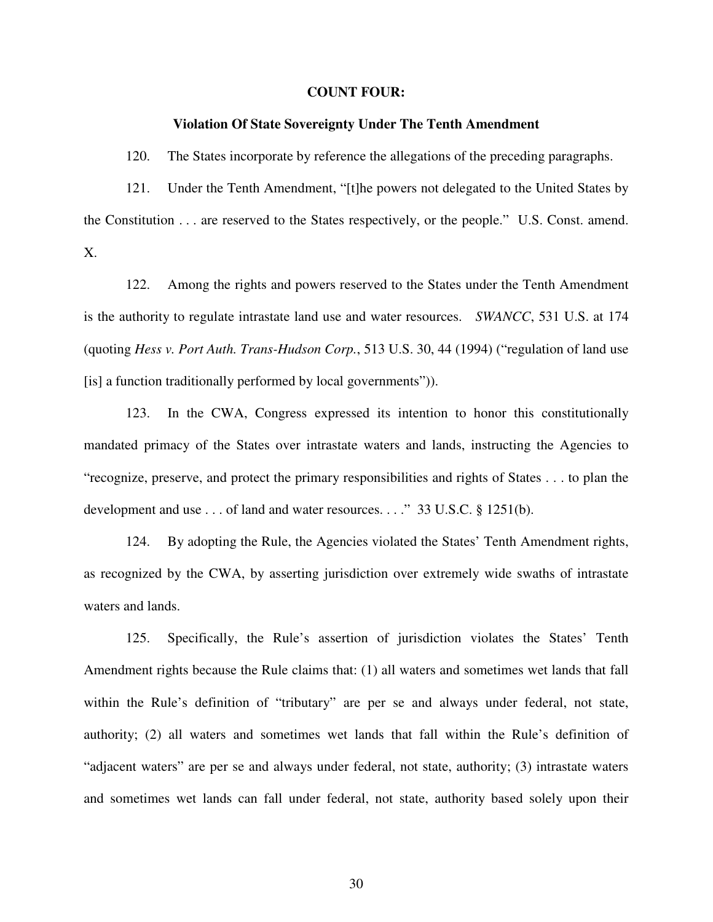#### **COUNT FOUR:**

#### **Violation Of State Sovereignty Under The Tenth Amendment**

120. The States incorporate by reference the allegations of the preceding paragraphs.

121. Under the Tenth Amendment, "[t]he powers not delegated to the United States by the Constitution . . . are reserved to the States respectively, or the people." U.S. Const. amend. X.

122. Among the rights and powers reserved to the States under the Tenth Amendment is the authority to regulate intrastate land use and water resources. *SWANCC*, 531 U.S. at 174 (quoting *Hess v. Port Auth. Trans-Hudson Corp.*, 513 U.S. 30, 44 (1994) ("regulation of land use [is] a function traditionally performed by local governments")).

123. In the CWA, Congress expressed its intention to honor this constitutionally mandated primacy of the States over intrastate waters and lands, instructing the Agencies to "recognize, preserve, and protect the primary responsibilities and rights of States . . . to plan the development and use . . . of land and water resources. . . ." 33 U.S.C. § 1251(b).

124. By adopting the Rule, the Agencies violated the States' Tenth Amendment rights, as recognized by the CWA, by asserting jurisdiction over extremely wide swaths of intrastate waters and lands.

125. Specifically, the Rule's assertion of jurisdiction violates the States' Tenth Amendment rights because the Rule claims that: (1) all waters and sometimes wet lands that fall within the Rule's definition of "tributary" are per se and always under federal, not state, authority; (2) all waters and sometimes wet lands that fall within the Rule's definition of "adjacent waters" are per se and always under federal, not state, authority; (3) intrastate waters and sometimes wet lands can fall under federal, not state, authority based solely upon their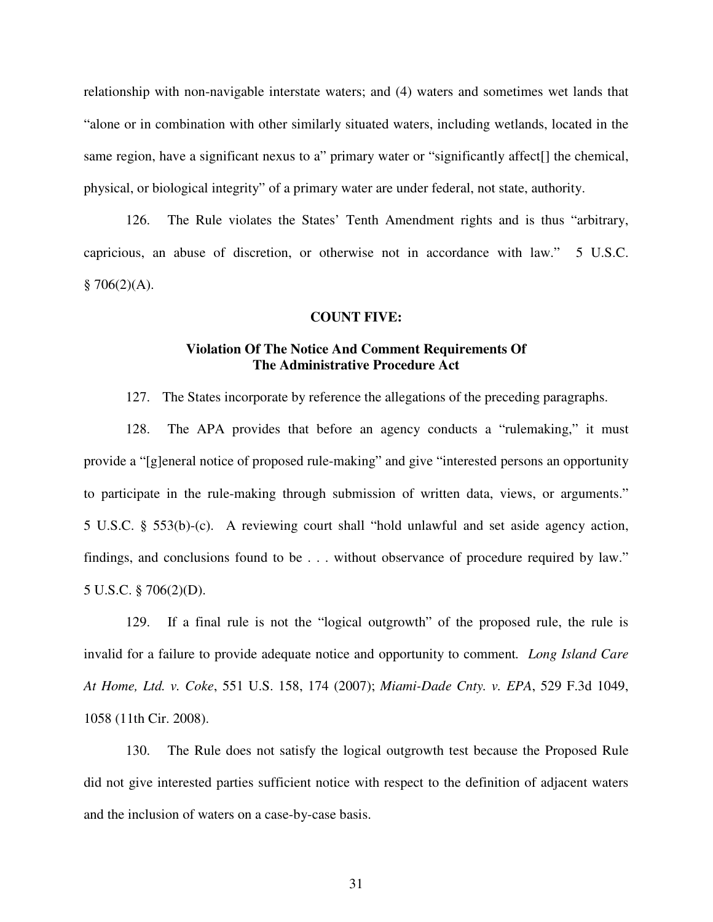relationship with non-navigable interstate waters; and (4) waters and sometimes wet lands that "alone or in combination with other similarly situated waters, including wetlands, located in the same region, have a significant nexus to a" primary water or "significantly affect[] the chemical, physical, or biological integrity" of a primary water are under federal, not state, authority.

126. The Rule violates the States' Tenth Amendment rights and is thus "arbitrary, capricious, an abuse of discretion, or otherwise not in accordance with law." 5 U.S.C.  $§ 706(2)(A).$ 

### **COUNT FIVE:**

# **Violation Of The Notice And Comment Requirements Of The Administrative Procedure Act**

127. The States incorporate by reference the allegations of the preceding paragraphs.

128. The APA provides that before an agency conducts a "rulemaking," it must provide a "[g]eneral notice of proposed rule-making" and give "interested persons an opportunity to participate in the rule-making through submission of written data, views, or arguments." 5 U.S.C. § 553(b)-(c). A reviewing court shall "hold unlawful and set aside agency action, findings, and conclusions found to be . . . without observance of procedure required by law." 5 U.S.C. § 706(2)(D).

129. If a final rule is not the "logical outgrowth" of the proposed rule, the rule is invalid for a failure to provide adequate notice and opportunity to comment*. Long Island Care At Home, Ltd. v. Coke*, 551 U.S. 158, 174 (2007); *Miami-Dade Cnty. v. EPA*, 529 F.3d 1049, 1058 (11th Cir. 2008).

130. The Rule does not satisfy the logical outgrowth test because the Proposed Rule did not give interested parties sufficient notice with respect to the definition of adjacent waters and the inclusion of waters on a case-by-case basis.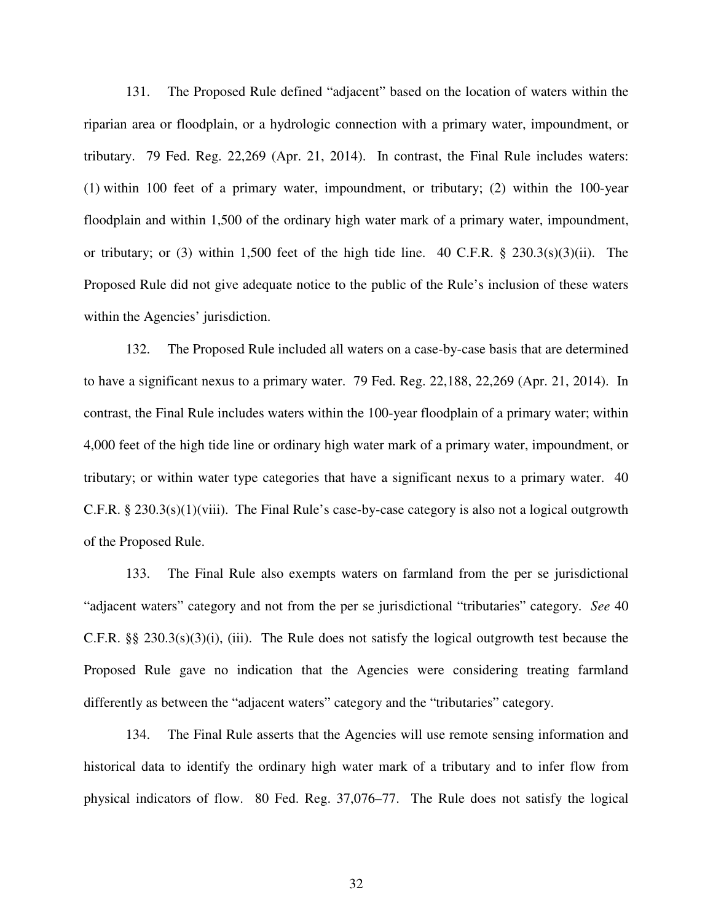131. The Proposed Rule defined "adjacent" based on the location of waters within the riparian area or floodplain, or a hydrologic connection with a primary water, impoundment, or tributary. 79 Fed. Reg. 22,269 (Apr. 21, 2014). In contrast, the Final Rule includes waters: (1) within 100 feet of a primary water, impoundment, or tributary; (2) within the 100-year floodplain and within 1,500 of the ordinary high water mark of a primary water, impoundment, or tributary; or (3) within 1,500 feet of the high tide line.  $40 \text{ C.F.R. }$  §  $230.3(s)(3)(ii)$ . The Proposed Rule did not give adequate notice to the public of the Rule's inclusion of these waters within the Agencies' jurisdiction.

132. The Proposed Rule included all waters on a case-by-case basis that are determined to have a significant nexus to a primary water. 79 Fed. Reg. 22,188, 22,269 (Apr. 21, 2014). In contrast, the Final Rule includes waters within the 100-year floodplain of a primary water; within 4,000 feet of the high tide line or ordinary high water mark of a primary water, impoundment, or tributary; or within water type categories that have a significant nexus to a primary water. 40 C.F.R.  $\S 230.3(s)(1)(viii)$ . The Final Rule's case-by-case category is also not a logical outgrowth of the Proposed Rule.

133. The Final Rule also exempts waters on farmland from the per se jurisdictional "adjacent waters" category and not from the per se jurisdictional "tributaries" category. *See* 40 C.F.R. §§ 230.3(s)(3)(i), (iii). The Rule does not satisfy the logical outgrowth test because the Proposed Rule gave no indication that the Agencies were considering treating farmland differently as between the "adjacent waters" category and the "tributaries" category.

134. The Final Rule asserts that the Agencies will use remote sensing information and historical data to identify the ordinary high water mark of a tributary and to infer flow from physical indicators of flow. 80 Fed. Reg. 37,076–77. The Rule does not satisfy the logical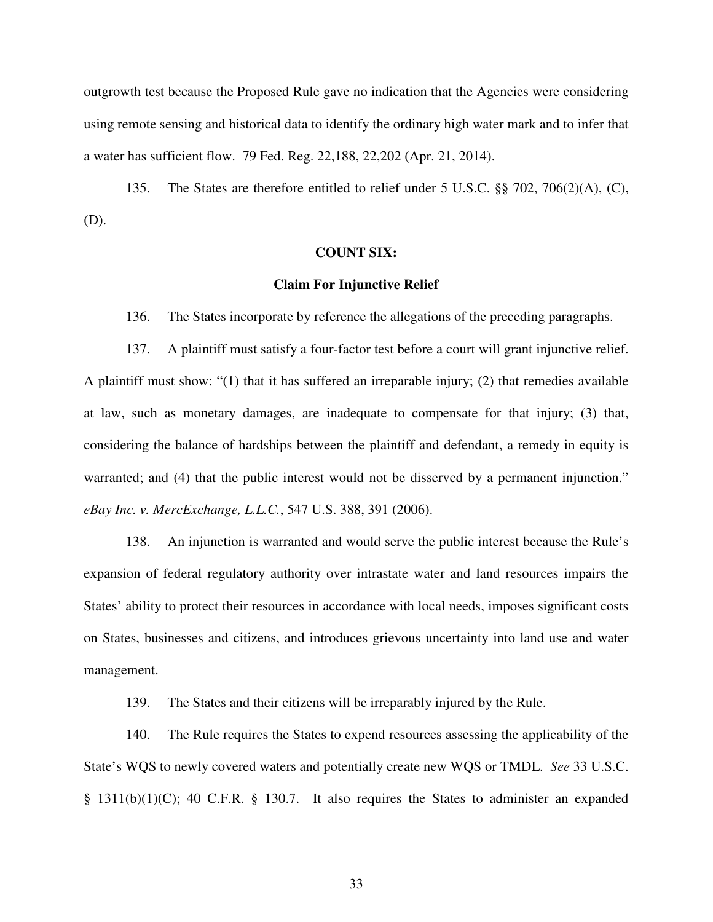outgrowth test because the Proposed Rule gave no indication that the Agencies were considering using remote sensing and historical data to identify the ordinary high water mark and to infer that a water has sufficient flow. 79 Fed. Reg. 22,188, 22,202 (Apr. 21, 2014).

135. The States are therefore entitled to relief under 5 U.S.C. §§ 702, 706(2)(A), (C), (D).

### **COUNT SIX:**

### **Claim For Injunctive Relief**

136. The States incorporate by reference the allegations of the preceding paragraphs.

137. A plaintiff must satisfy a four-factor test before a court will grant injunctive relief. A plaintiff must show: "(1) that it has suffered an irreparable injury; (2) that remedies available at law, such as monetary damages, are inadequate to compensate for that injury; (3) that, considering the balance of hardships between the plaintiff and defendant, a remedy in equity is warranted; and (4) that the public interest would not be disserved by a permanent injunction." *eBay Inc. v. MercExchange, L.L.C.*, 547 U.S. 388, 391 (2006).

138. An injunction is warranted and would serve the public interest because the Rule's expansion of federal regulatory authority over intrastate water and land resources impairs the States' ability to protect their resources in accordance with local needs, imposes significant costs on States, businesses and citizens, and introduces grievous uncertainty into land use and water management.

139. The States and their citizens will be irreparably injured by the Rule.

140. The Rule requires the States to expend resources assessing the applicability of the State's WQS to newly covered waters and potentially create new WQS or TMDL. *See* 33 U.S.C. § 1311(b)(1)(C); 40 C.F.R. § 130.7. It also requires the States to administer an expanded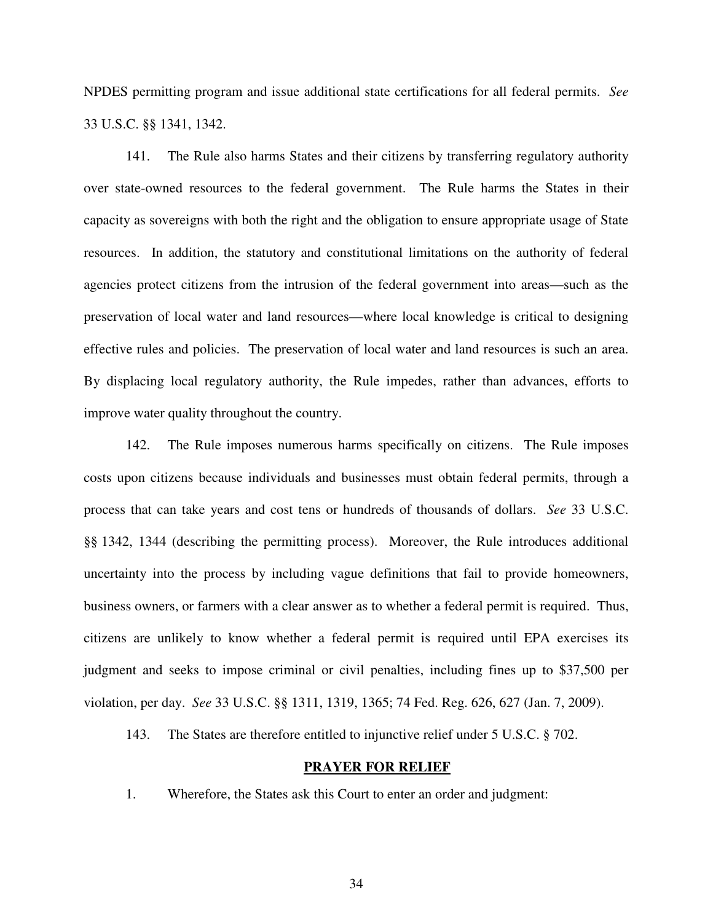NPDES permitting program and issue additional state certifications for all federal permits. *See*  33 U.S.C. §§ 1341, 1342.

141. The Rule also harms States and their citizens by transferring regulatory authority over state-owned resources to the federal government. The Rule harms the States in their capacity as sovereigns with both the right and the obligation to ensure appropriate usage of State resources. In addition, the statutory and constitutional limitations on the authority of federal agencies protect citizens from the intrusion of the federal government into areas—such as the preservation of local water and land resources—where local knowledge is critical to designing effective rules and policies. The preservation of local water and land resources is such an area. By displacing local regulatory authority, the Rule impedes, rather than advances, efforts to improve water quality throughout the country.

142. The Rule imposes numerous harms specifically on citizens. The Rule imposes costs upon citizens because individuals and businesses must obtain federal permits, through a process that can take years and cost tens or hundreds of thousands of dollars. *See* 33 U.S.C. §§ 1342, 1344 (describing the permitting process). Moreover, the Rule introduces additional uncertainty into the process by including vague definitions that fail to provide homeowners, business owners, or farmers with a clear answer as to whether a federal permit is required. Thus, citizens are unlikely to know whether a federal permit is required until EPA exercises its judgment and seeks to impose criminal or civil penalties, including fines up to \$37,500 per violation, per day. *See* 33 U.S.C. §§ 1311, 1319, 1365; 74 Fed. Reg. 626, 627 (Jan. 7, 2009).

143. The States are therefore entitled to injunctive relief under 5 U.S.C. § 702.

#### **PRAYER FOR RELIEF**

1. Wherefore, the States ask this Court to enter an order and judgment: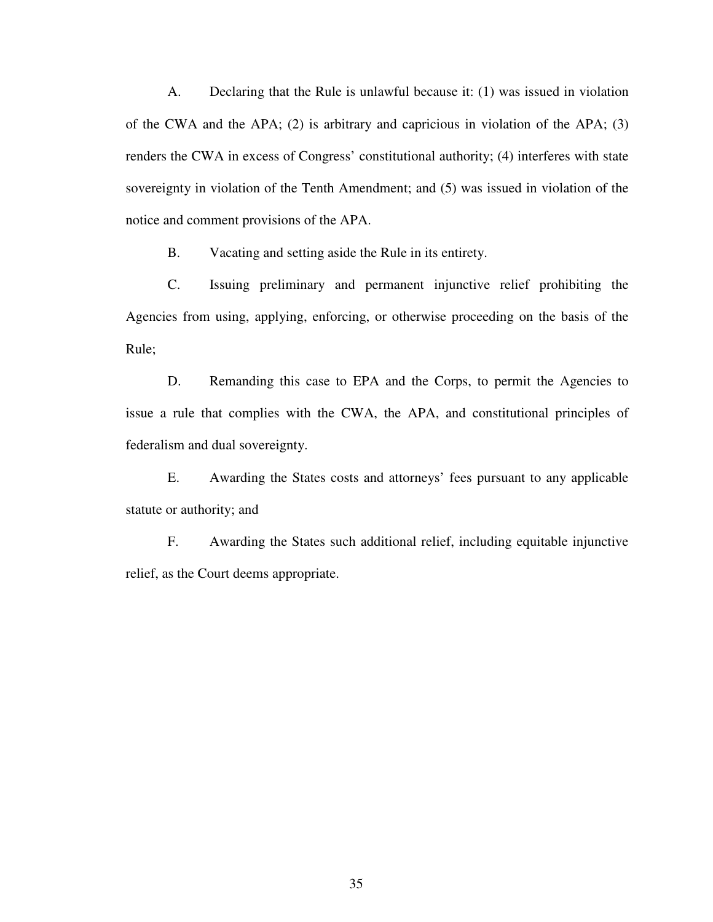A. Declaring that the Rule is unlawful because it: (1) was issued in violation of the CWA and the APA; (2) is arbitrary and capricious in violation of the APA; (3) renders the CWA in excess of Congress' constitutional authority; (4) interferes with state sovereignty in violation of the Tenth Amendment; and (5) was issued in violation of the notice and comment provisions of the APA.

B. Vacating and setting aside the Rule in its entirety.

C. Issuing preliminary and permanent injunctive relief prohibiting the Agencies from using, applying, enforcing, or otherwise proceeding on the basis of the Rule;

D. Remanding this case to EPA and the Corps, to permit the Agencies to issue a rule that complies with the CWA, the APA, and constitutional principles of federalism and dual sovereignty.

E. Awarding the States costs and attorneys' fees pursuant to any applicable statute or authority; and

F. Awarding the States such additional relief, including equitable injunctive relief, as the Court deems appropriate.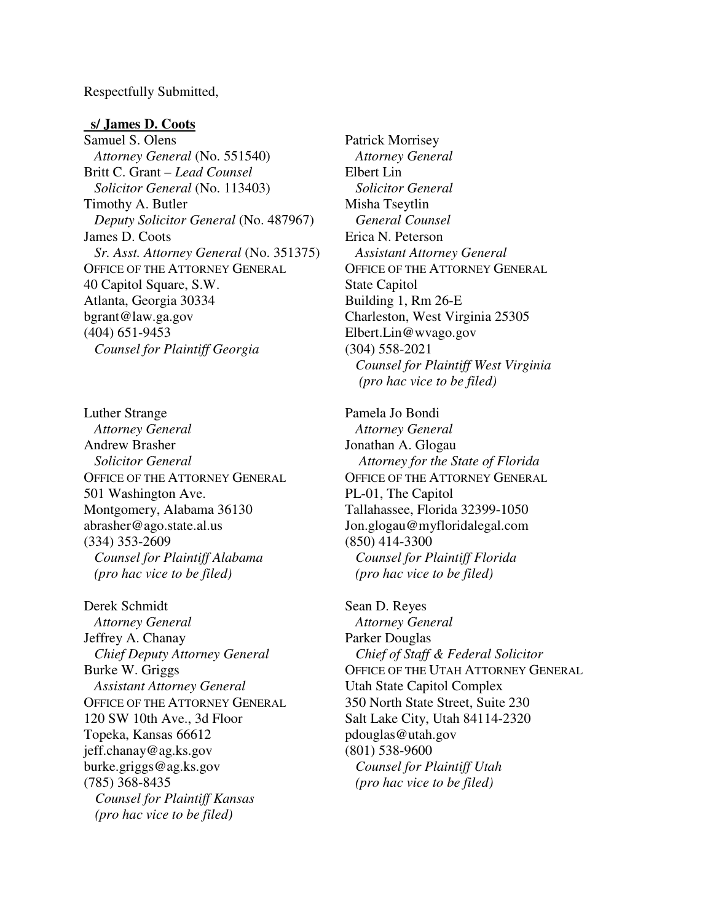Respectfully Submitted,

#### **s/ James D. Coots**

Samuel S. Olens  *Attorney General* (No. 551540) Britt C. Grant – *Lead Counsel Solicitor General* (No. 113403) Timothy A. Butler  *Deputy Solicitor General* (No. 487967) James D. Coots *Sr. Asst. Attorney General* (No. 351375) OFFICE OF THE ATTORNEY GENERAL 40 Capitol Square, S.W. Atlanta, Georgia 30334 bgrant@law.ga.gov (404) 651-9453 *Counsel for Plaintiff Georgia* 

Luther Strange *Attorney General*  Andrew Brasher  *Solicitor General*  OFFICE OF THE ATTORNEY GENERAL 501 Washington Ave. Montgomery, Alabama 36130 abrasher@ago.state.al.us (334) 353-2609 *Counsel for Plaintiff Alabama (pro hac vice to be filed)* 

Derek Schmidt  *Attorney General*  Jeffrey A. Chanay  *Chief Deputy Attorney General*  Burke W. Griggs  *Assistant Attorney General*  OFFICE OF THE ATTORNEY GENERAL 120 SW 10th Ave., 3d Floor Topeka, Kansas 66612 jeff.chanay@ag.ks.gov burke.griggs@ag.ks.gov (785) 368-8435  *Counsel for Plaintiff Kansas (pro hac vice to be filed)* 

Patrick Morrisey  *Attorney General*  Elbert Lin  *Solicitor General*  Misha Tseytlin *General Counsel*  Erica N. Peterson *Assistant Attorney General*  OFFICE OF THE ATTORNEY GENERAL State Capitol Building 1, Rm 26-E Charleston, West Virginia 25305 Elbert.Lin@wvago.gov (304) 558-2021  *Counsel for Plaintiff West Virginia (pro hac vice to be filed)*

Pamela Jo Bondi  *Attorney General*  Jonathan A. Glogau *Attorney for the State of Florida*  OFFICE OF THE ATTORNEY GENERAL PL-01, The Capitol Tallahassee, Florida 32399-1050 Jon.glogau@myfloridalegal.com (850) 414-3300  *Counsel for Plaintiff Florida (pro hac vice to be filed)*

Sean D. Reyes  *Attorney General*  Parker Douglas  *Chief of Staff & Federal Solicitor*  OFFICE OF THE UTAH ATTORNEY GENERAL Utah State Capitol Complex 350 North State Street, Suite 230 Salt Lake City, Utah 84114-2320 pdouglas@utah.gov (801) 538-9600  *Counsel for Plaintiff Utah (pro hac vice to be filed)*